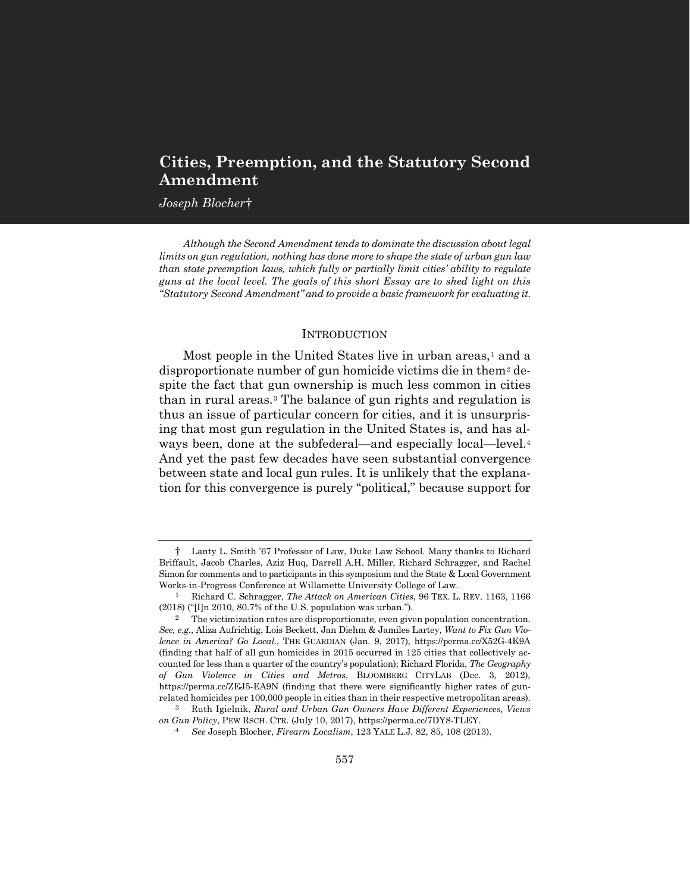# **Cities, Preemption, and the Statutory Second Amendment**

*Joseph Blocher*[†](#page-0-0)

*Although the Second Amendment tends to dominate the discussion about legal limits on gun regulation, nothing has done more to shape the state of urban gun law than state preemption laws, which fully or partially limit cities' ability to regulate guns at the local level. The goals of this short Essay are to shed light on this "Statutory Second Amendment" and to provide a basic framework for evaluating it.*

#### <span id="page-0-6"></span><span id="page-0-5"></span>**INTRODUCTION**

Most people in the United States live in urban areas,<sup>[1](#page-0-1)</sup> and a disproportionate number of gun homicide victims die in them[2](#page-0-2) despite the fact that gun ownership is much less common in cities than in rural areas.[3](#page-0-3) The balance of gun rights and regulation is thus an issue of particular concern for cities, and it is unsurprising that most gun regulation in the United States is, and has always been, done at the subfederal—and especially local—level.[4](#page-0-4) And yet the past few decades have seen substantial convergence between state and local gun rules. It is unlikely that the explanation for this convergence is purely "political," because support for

<span id="page-0-0"></span><sup>†</sup> Lanty L. Smith '67 Professor of Law, Duke Law School. Many thanks to Richard Briffault, Jacob Charles, Aziz Huq, Darrell A.H. Miller, Richard Schragger, and Rachel Simon for comments and to participants in this symposium and the State & Local Government Works-in-Progress Conference at Willamette University College of Law.

<span id="page-0-1"></span><sup>1</sup> Richard C. Schragger, *The Attack on American Cities*, 96 TEX. L. REV. 1163, 1166 (2018) ("[I]n 2010, 80.7% of the U.S. population was urban.").

<span id="page-0-2"></span><sup>2</sup> The victimization rates are disproportionate, even given population concentration. *See, e.g.*, Aliza Aufrichtig, Lois Beckett, Jan Diehm & Jamiles Lartey, *Want to Fix Gun Violence in America? Go Local.*, THE GUARDIAN (Jan. 9, 2017), https://perma.cc/X52G-4K9A (finding that half of all gun homicides in 2015 occurred in 125 cities that collectively accounted for less than a quarter of the country's population); Richard Florida, *The Geography of Gun Violence in Cities and Metros*, BLOOMBERG CITYLAB (Dec. 3, 2012), https://perma.cc/ZEJ5-EA9N (finding that there were significantly higher rates of gunrelated homicides per 100,000 people in cities than in their respective metropolitan areas).

<span id="page-0-4"></span><span id="page-0-3"></span><sup>3</sup> Ruth Igielnik, *Rural and Urban Gun Owners Have Different Experiences, Views on Gun Policy*, PEW RSCH. CTR. (July 10, 2017), https://perma.cc/7DY8-TLEY.

<sup>4</sup> *See* Joseph Blocher, *Firearm Localism*, 123 YALE L.J. 82, 85, 108 (2013).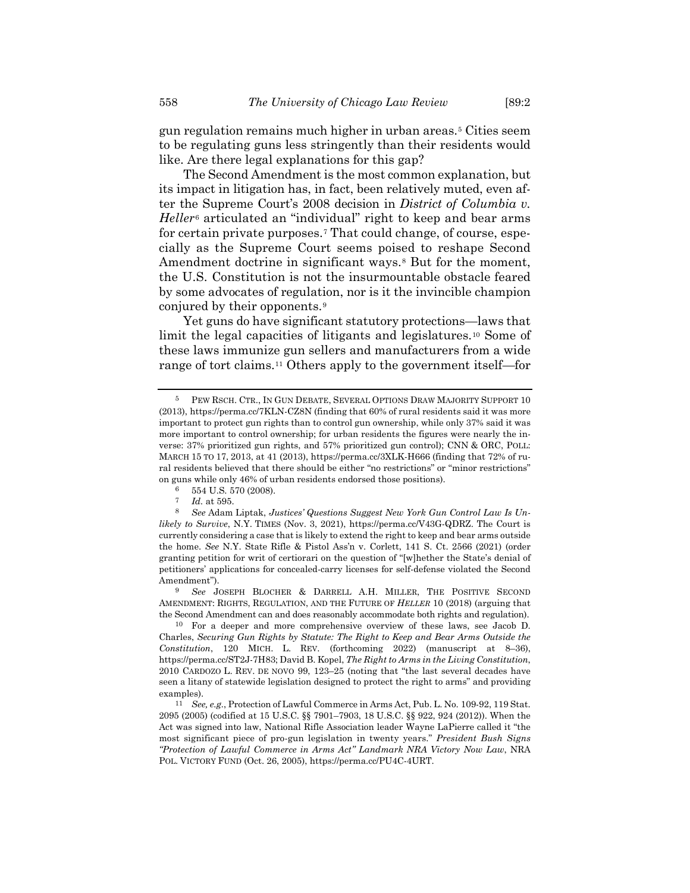gun regulation remains much higher in urban areas.[5](#page-1-0) Cities seem to be regulating guns less stringently than their residents would like. Are there legal explanations for this gap?

The Second Amendment is the most common explanation, but its impact in litigation has, in fact, been relatively muted, even after the Supreme Court's 2008 decision in *District of Columbia v. Heller*[6](#page-1-1) articulated an "individual" right to keep and bear arms for certain private purposes.[7](#page-1-2) That could change, of course, especially as the Supreme Court seems poised to reshape Second Amendment doctrine in significant ways.<sup>[8](#page-1-3)</sup> But for the moment, the U.S. Constitution is not the insurmountable obstacle feared by some advocates of regulation, nor is it the invincible champion conjured by their opponents.[9](#page-1-4)

<span id="page-1-7"></span>Yet guns do have significant statutory protections—laws that limit the legal capacities of litigants and legislatures.[10](#page-1-5) Some of these laws immunize gun sellers and manufacturers from a wide range of tort claims.[11](#page-1-6) Others apply to the government itself—for

<span id="page-1-4"></span>9 *See* JOSEPH BLOCHER & DARRELL A.H. MILLER, THE POSITIVE SECOND AMENDMENT: RIGHTS, REGULATION, AND THE FUTURE OF *HELLER* 10 (2018) (arguing that the Second Amendment can and does reasonably accommodate both rights and regulation).

<span id="page-1-8"></span><span id="page-1-0"></span><sup>5</sup> PEW RSCH. CTR., IN GUN DEBATE, SEVERAL OPTIONS DRAW MAJORITY SUPPORT 10 (2013), https://perma.cc/7KLN-CZ8N (finding that 60% of rural residents said it was more important to protect gun rights than to control gun ownership, while only 37% said it was more important to control ownership; for urban residents the figures were nearly the inverse: 37% prioritized gun rights, and 57% prioritized gun control); CNN & ORC, POLL: MARCH 15 TO 17, 2013, at 41 (2013), https://perma.cc/3XLK-H666 (finding that 72% of rural residents believed that there should be either "no restrictions" or "minor restrictions" on guns while only 46% of urban residents endorsed those positions).

 $6$  554 U.S. 570 (2008).

*Id.* at 595.

<span id="page-1-3"></span><span id="page-1-2"></span><span id="page-1-1"></span><sup>8</sup> *See* Adam Liptak, *Justices' Questions Suggest New York Gun Control Law Is Unlikely to Survive*, N.Y. TIMES (Nov. 3, 2021), https://perma.cc/V43G-QDRZ. The Court is currently considering a case that is likely to extend the right to keep and bear arms outside the home. *See* N.Y. State Rifle & Pistol Ass'n v. Corlett, 141 S. Ct. 2566 (2021) (order granting petition for writ of certiorari on the question of "[w]hether the State's denial of petitioners' applications for concealed-carry licenses for self-defense violated the Second Amendment").

<span id="page-1-5"></span><sup>10</sup> For a deeper and more comprehensive overview of these laws, see Jacob D. Charles, *Securing Gun Rights by Statute: The Right to Keep and Bear Arms Outside the Constitution*, 120 MICH. L. REV. (forthcoming 2022) (manuscript at 8–36), https://perma.cc/ST2J-7H83; David B. Kopel, *The Right to Arms in the Living Constitution*, 2010 CARDOZO L. REV. DE NOVO 99, 123–25 (noting that "the last several decades have seen a litany of statewide legislation designed to protect the right to arms" and providing examples).

<span id="page-1-6"></span><sup>11</sup> *See, e.g.*, Protection of Lawful Commerce in Arms Act, Pub. L. No. 109-92, 119 Stat. 2095 (2005) (codified at 15 U.S.C. §§ 7901–7903, 18 U.S.C. §§ 922, 924 (2012)). When the Act was signed into law, National Rifle Association leader Wayne LaPierre called it "the most significant piece of pro-gun legislation in twenty years." *President Bush Signs "Protection of Lawful Commerce in Arms Act" Landmark NRA Victory Now Law*, NRA POL. VICTORY FUND (Oct. 26, 2005), https://perma.cc/PU4C-4URT.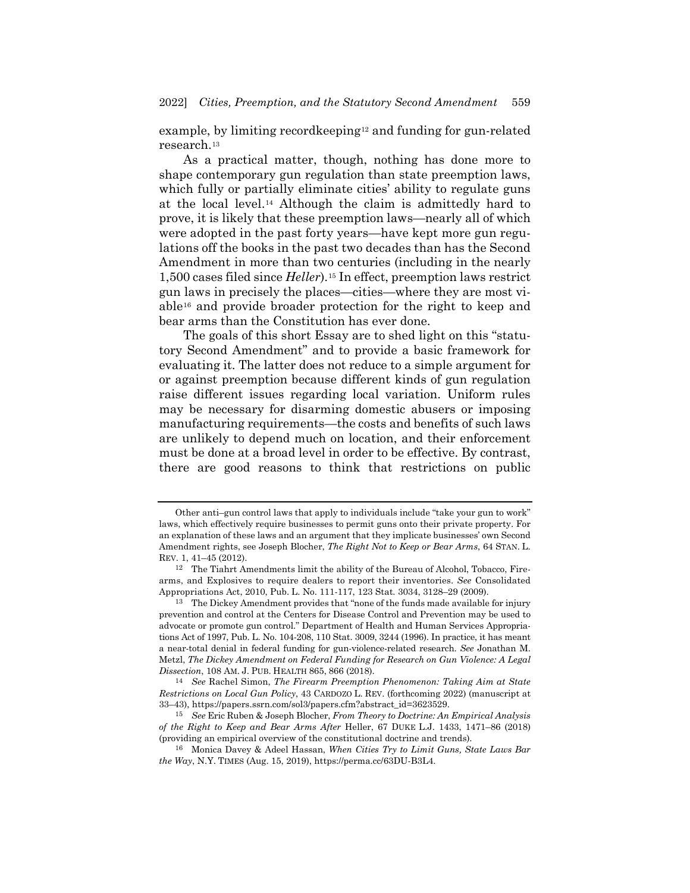example, by limiting recordkeeping<sup>[12](#page-2-0)</sup> and funding for gun-related research.[13](#page-2-1)

<span id="page-2-5"></span>As a practical matter, though, nothing has done more to shape contemporary gun regulation than state preemption laws, which fully or partially eliminate cities' ability to regulate guns at the local level.[14](#page-2-2) Although the claim is admittedly hard to prove, it is likely that these preemption laws—nearly all of which were adopted in the past forty years—have kept more gun regulations off the books in the past two decades than has the Second Amendment in more than two centuries (including in the nearly 1,500 cases filed since *Heller*)[.15](#page-2-3) In effect, preemption laws restrict gun laws in precisely the places—cities—where they are most viable[16](#page-2-4) and provide broader protection for the right to keep and bear arms than the Constitution has ever done.

<span id="page-2-6"></span>The goals of this short Essay are to shed light on this "statutory Second Amendment" and to provide a basic framework for evaluating it. The latter does not reduce to a simple argument for or against preemption because different kinds of gun regulation raise different issues regarding local variation. Uniform rules may be necessary for disarming domestic abusers or imposing manufacturing requirements—the costs and benefits of such laws are unlikely to depend much on location, and their enforcement must be done at a broad level in order to be effective. By contrast, there are good reasons to think that restrictions on public

Other anti–gun control laws that apply to individuals include "take your gun to work" laws, which effectively require businesses to permit guns onto their private property. For an explanation of these laws and an argument that they implicate businesses' own Second Amendment rights, see Joseph Blocher, *The Right Not to Keep or Bear Arms*, 64 STAN. L. REV. 1, 41–45 (2012).

<span id="page-2-0"></span><sup>12</sup> The Tiahrt Amendments limit the ability of the Bureau of Alcohol, Tobacco, Firearms, and Explosives to require dealers to report their inventories. *See* Consolidated Appropriations Act, 2010, Pub. L. No. 111-117, 123 Stat. 3034, 3128–29 (2009).

<span id="page-2-1"></span><sup>13</sup> The Dickey Amendment provides that "none of the funds made available for injury prevention and control at the Centers for Disease Control and Prevention may be used to advocate or promote gun control." Department of Health and Human Services Appropriations Act of 1997, Pub. L. No. 104-208, 110 Stat. 3009, 3244 (1996). In practice, it has meant a near-total denial in federal funding for gun-violence-related research. *See* Jonathan M. Metzl, *The Dickey Amendment on Federal Funding for Research on Gun Violence: A Legal Dissection*, 108 AM. J. PUB. HEALTH 865, 866 (2018).

<span id="page-2-2"></span><sup>14</sup> *See* Rachel Simon, *The Firearm Preemption Phenomenon: Taking Aim at State Restrictions on Local Gun Policy*, 43 CARDOZO L. REV. (forthcoming 2022) (manuscript at 33–43), https://papers.ssrn.com/sol3/papers.cfm?abstract\_id=3623529.

<span id="page-2-3"></span><sup>15</sup> *See* Eric Ruben & Joseph Blocher, *From Theory to Doctrine: An Empirical Analysis of the Right to Keep and Bear Arms After* Heller, 67 DUKE L.J. 1433, 1471–86 (2018) (providing an empirical overview of the constitutional doctrine and trends).

<span id="page-2-4"></span><sup>16</sup> Monica Davey & Adeel Hassan, *When Cities Try to Limit Guns, State Laws Bar the Way*, N.Y. TIMES (Aug. 15, 2019), https://perma.cc/63DU-B3L4.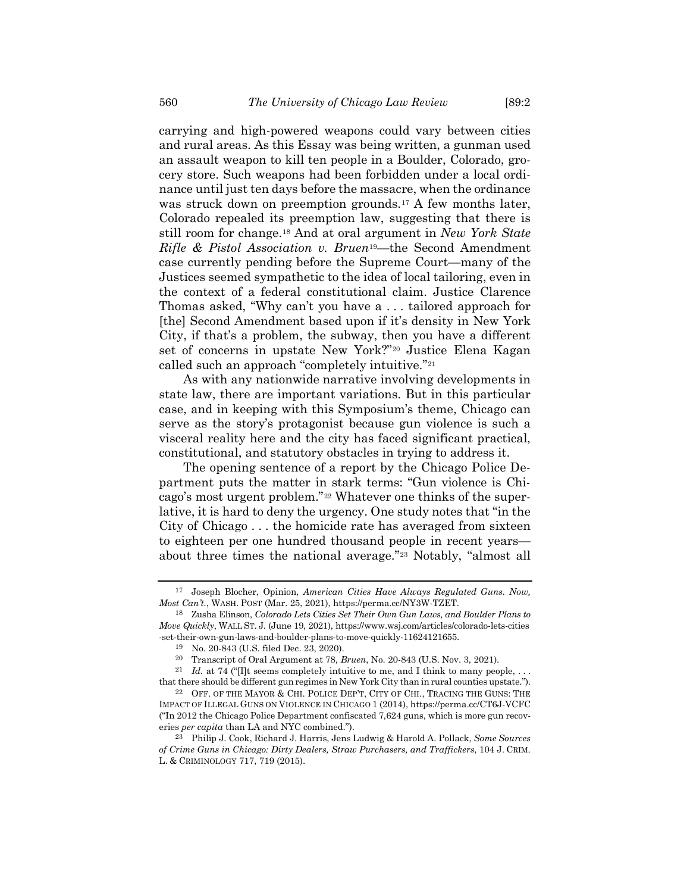carrying and high-powered weapons could vary between cities and rural areas. As this Essay was being written, a gunman used an assault weapon to kill ten people in a Boulder, Colorado, grocery store. Such weapons had been forbidden under a local ordinance until just ten days before the massacre, when the ordinance was struck down on preemption grounds.<sup>[17](#page-3-0)</sup> A few months later, Colorado repealed its preemption law, suggesting that there is still room for change.[18](#page-3-1) And at oral argument in *New York State Rifle & Pistol Association v. Bruen*[19—](#page-3-2)the Second Amendment case currently pending before the Supreme Court—many of the Justices seemed sympathetic to the idea of local tailoring, even in the context of a federal constitutional claim. Justice Clarence Thomas asked, "Why can't you have a . . . tailored approach for [the] Second Amendment based upon if it's density in New York City, if that's a problem, the subway, then you have a different set of concerns in upstate New York?["20](#page-3-3) Justice Elena Kagan called such an approach "completely intuitive."[21](#page-3-4)

<span id="page-3-7"></span>As with any nationwide narrative involving developments in state law, there are important variations. But in this particular case, and in keeping with this Symposium's theme, Chicago can serve as the story's protagonist because gun violence is such a visceral reality here and the city has faced significant practical, constitutional, and statutory obstacles in trying to address it.

<span id="page-3-8"></span>The opening sentence of a report by the Chicago Police Department puts the matter in stark terms: "Gun violence is Chicago's most urgent problem."[22](#page-3-5) Whatever one thinks of the superlative, it is hard to deny the urgency. One study notes that "in the City of Chicago . . . the homicide rate has averaged from sixteen to eighteen per one hundred thousand people in recent years about three times the national average."[23](#page-3-6) Notably, "almost all

<span id="page-3-9"></span><span id="page-3-0"></span><sup>17</sup> Joseph Blocher, Opinion, *American Cities Have Always Regulated Guns. Now, Most Can't.*, WASH. POST (Mar. 25, 2021), https://perma.cc/NY3W-TZET.

<span id="page-3-1"></span><sup>18</sup> Zusha Elinson, *Colorado Lets Cities Set Their Own Gun Laws, and Boulder Plans to Move Quickly*, WALL ST. J. (June 19, 2021), https://www.wsj.com/articles/colorado-lets-cities -set-their-own-gun-laws-and-boulder-plans-to-move-quickly-11624121655.

<sup>19</sup> No. 20-843 (U.S. filed Dec. 23, 2020).

<sup>20</sup> Transcript of Oral Argument at 78, *Bruen*, No. 20-843 (U.S. Nov. 3, 2021).

<span id="page-3-4"></span><span id="page-3-3"></span><span id="page-3-2"></span><sup>&</sup>lt;sup>21</sup> *Id.* at 74 ("Ilt seems completely intuitive to me, and I think to many people, ... that there should be different gun regimes in New York City than in rural counties upstate.").

<span id="page-3-5"></span><sup>22</sup> OFF. OF THE MAYOR & CHI. POLICE DEP'T, CITY OF CHI., TRACING THE GUNS: THE IMPACT OF ILLEGAL GUNS ON VIOLENCE IN CHICAGO 1 (2014), https://perma.cc/CT6J-VCFC ("In 2012 the Chicago Police Department confiscated 7,624 guns, which is more gun recoveries *per capita* than LA and NYC combined.").

<span id="page-3-6"></span><sup>23</sup> Philip J. Cook, Richard J. Harris, Jens Ludwig & Harold A. Pollack, *Some Sources of Crime Guns in Chicago: Dirty Dealers, Straw Purchasers, and Traffickers*, 104 J. CRIM. L. & CRIMINOLOGY 717, 719 (2015).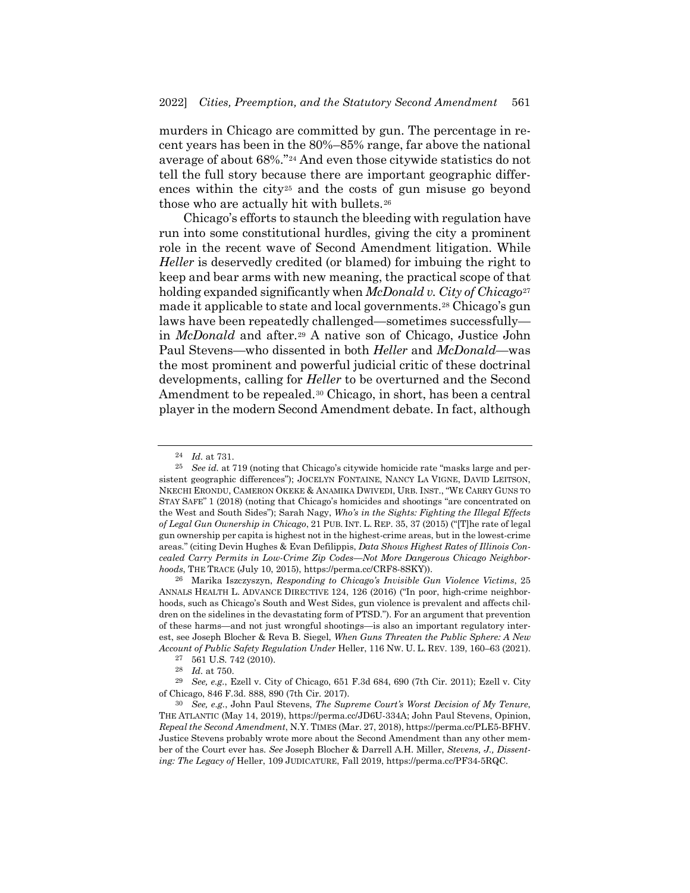murders in Chicago are committed by gun. The percentage in recent years has been in the 80%–85% range, far above the national average of about 68%.["24](#page-4-0) And even those citywide statistics do not tell the full story because there are important geographic differences within the cit[y25](#page-4-1) and the costs of gun misuse go beyond those who are actually hit with bullets.<sup>[26](#page-4-2)</sup>

<span id="page-4-8"></span><span id="page-4-7"></span>Chicago's efforts to staunch the bleeding with regulation have run into some constitutional hurdles, giving the city a prominent role in the recent wave of Second Amendment litigation. While *Heller* is deservedly credited (or blamed) for imbuing the right to keep and bear arms with new meaning, the practical scope of that holding expanded significantly when *McDonald v. City of Chicago*[27](#page-4-3) made it applicable to state and local governments.[28](#page-4-4) Chicago's gun laws have been repeatedly challenged—sometimes successfully in *McDonald* and after.[29](#page-4-5) A native son of Chicago, Justice John Paul Stevens—who dissented in both *Heller* and *McDonald*—was the most prominent and powerful judicial critic of these doctrinal developments, calling for *Heller* to be overturned and the Second Amendment to be repealed[.30](#page-4-6) Chicago, in short, has been a central player in the modern Second Amendment debate. In fact, although

<span id="page-4-2"></span>26 Marika Iszczyszyn, *Responding to Chicago's Invisible Gun Violence Victims*, 25 ANNALS HEALTH L. ADVANCE DIRECTIVE 124, 126 (2016) ("In poor, high-crime neighborhoods, such as Chicago's South and West Sides, gun violence is prevalent and affects children on the sidelines in the devastating form of PTSD."). For an argument that prevention of these harms—and not just wrongful shootings—is also an important regulatory interest, see Joseph Blocher & Reva B. Siegel, *When Guns Threaten the Public Sphere: A New Account of Public Safety Regulation Under* Heller, 116 NW. U. L. REV. 139, 160–63 (2021).

<sup>24</sup> *Id.* at 731.

<span id="page-4-1"></span><span id="page-4-0"></span><sup>25</sup> *See id.* at 719 (noting that Chicago's citywide homicide rate "masks large and persistent geographic differences"); JOCELYN FONTAINE, NANCY LA VIGNE, DAVID LEITSON, NKECHI ERONDU, CAMERON OKEKE & ANAMIKA DWIVEDI, URB. INST., "WE CARRY GUNS TO STAY SAFE" 1 (2018) (noting that Chicago's homicides and shootings "are concentrated on the West and South Sides"); Sarah Nagy, *Who's in the Sights: Fighting the Illegal Effects of Legal Gun Ownership in Chicago*, 21 PUB. INT. L. REP. 35, 37 (2015) ("[T]he rate of legal gun ownership per capita is highest not in the highest-crime areas, but in the lowest-crime areas." (citing Devin Hughes & Evan Defilippis, *Data Shows Highest Rates of Illinois Concealed Carry Permits in Low-Crime Zip Codes—Not More Dangerous Chicago Neighborhoods*, THE TRACE (July 10, 2015), https://perma.cc/CRF8-8SKY)).

<sup>27</sup> 561 U.S. 742 (2010).

<sup>28</sup> *Id.* at 750.

<span id="page-4-5"></span><span id="page-4-4"></span><span id="page-4-3"></span><sup>29</sup> *See, e.g.*, Ezell v. City of Chicago, 651 F.3d 684, 690 (7th Cir. 2011); Ezell v. City of Chicago, 846 F.3d. 888, 890 (7th Cir. 2017).

<span id="page-4-6"></span><sup>30</sup> *See, e.g.*, John Paul Stevens, *The Supreme Court's Worst Decision of My Tenure*, THE ATLANTIC (May 14, 2019), https://perma.cc/JD6U-334A; John Paul Stevens, Opinion, *Repeal the Second Amendment*, N.Y. TIMES (Mar. 27, 2018), https://perma.cc/PLE5-BFHV. Justice Stevens probably wrote more about the Second Amendment than any other member of the Court ever has. *See* Joseph Blocher & Darrell A.H. Miller, *Stevens, J., Dissenting: The Legacy of* Heller, 109 JUDICATURE, Fall 2019, https://perma.cc/PF34-5RQC.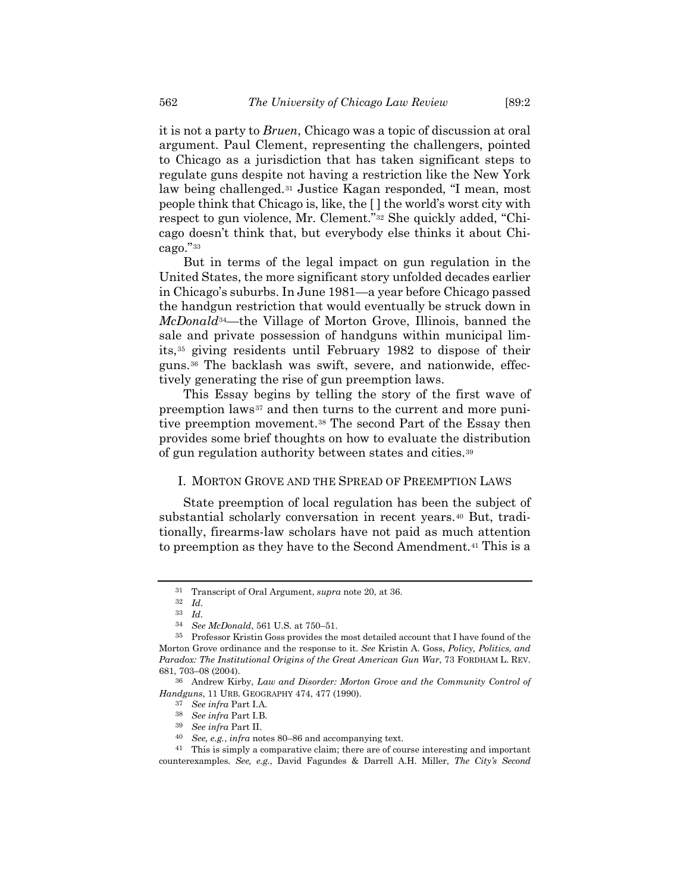it is not a party to *Bruen*, Chicago was a topic of discussion at oral argument. Paul Clement, representing the challengers, pointed to Chicago as a jurisdiction that has taken significant steps to regulate guns despite not having a restriction like the New York law being challenged.[31](#page-5-0) Justice Kagan responded, "I mean, most people think that Chicago is, like, the [ ] the world's worst city with respect to gun violence, Mr. Clement."[32](#page-5-1) She quickly added, "Chicago doesn't think that, but everybody else thinks it about Chicago."[33](#page-5-2)

But in terms of the legal impact on gun regulation in the United States, the more significant story unfolded decades earlier in Chicago's suburbs. In June 1981—a year before Chicago passed the handgun restriction that would eventually be struck down in *McDonald*[34](#page-5-3)—the Village of Morton Grove, Illinois, banned the sale and private possession of handguns within municipal limits,[35](#page-5-4) giving residents until February 1982 to dispose of their guns.[36](#page-5-5) The backlash was swift, severe, and nationwide, effectively generating the rise of gun preemption laws.

<span id="page-5-12"></span><span id="page-5-11"></span>This Essay begins by telling the story of the first wave of preemption laws<sup>[37](#page-5-6)</sup> and then turns to the current and more punitive preemption movement.[38](#page-5-7) The second Part of the Essay then provides some brief thoughts on how to evaluate the distribution of gun regulation authority between states and cities[.39](#page-5-8)

### I. MORTON GROVE AND THE SPREAD OF PREEMPTION LAWS

State preemption of local regulation has been the subject of substantial scholarly conversation in recent years.[40](#page-5-9) But, traditionally, firearms-law scholars have not paid as much attention to preemption as they have to the Second Amendment.[41](#page-5-10) This is a

 $\frac{32}{33}$  *Id.* 

<span id="page-5-7"></span><span id="page-5-6"></span><span id="page-5-5"></span>36 Andrew Kirby, *Law and Disorder: Morton Grove and the Community Control of Handguns*, 11 URB. GEOGRAPHY 474, 477 (1990).

<span id="page-5-13"></span><sup>31</sup> Transcript of Oral Argument, *supra* note [20,](#page-3-7) at 36.

<sup>33</sup> *Id.*

<sup>34</sup> *See McDonald*, 561 U.S. at 750–51.

<span id="page-5-4"></span><span id="page-5-3"></span><span id="page-5-2"></span><span id="page-5-1"></span><span id="page-5-0"></span><sup>35</sup> Professor Kristin Goss provides the most detailed account that I have found of the Morton Grove ordinance and the response to it. *See* Kristin A. Goss, *Policy, Politics, and Paradox: The Institutional Origins of the Great American Gun War*, 73 FORDHAM L. REV. 681, 703–08 (2004).

<sup>37</sup> *See infra* Part I.A.

<sup>38</sup> *See infra* Part I.B.

<sup>39</sup> *See infra* Part II.

<sup>40</sup> *See, e.g.*, *infra* notes [80](#page-10-0)[–86](#page-11-0) and accompanying text.

<span id="page-5-10"></span><span id="page-5-9"></span><span id="page-5-8"></span><sup>41</sup> This is simply a comparative claim; there are of course interesting and important counterexamples. *See, e.g.*, David Fagundes & Darrell A.H. Miller, *The City's Second*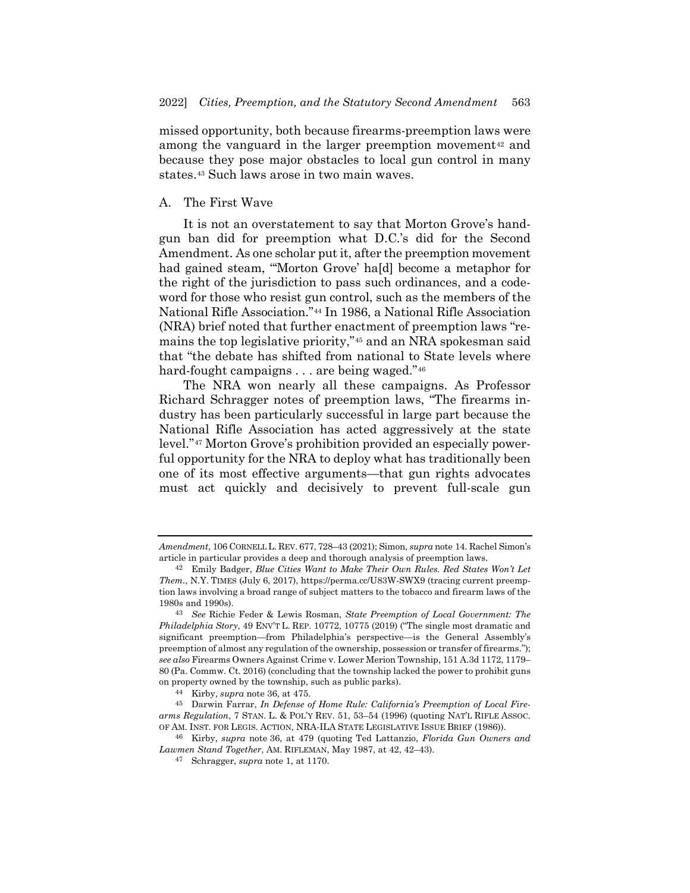missed opportunity, both because firearms-preemption laws were among the vanguard in the larger preemption movement<sup>[42](#page-6-0)</sup> and because they pose major obstacles to local gun control in many states.[43](#page-6-1) Such laws arose in two main waves.

### A. The First Wave

It is not an overstatement to say that Morton Grove's handgun ban did for preemption what D.C.'s did for the Second Amendment. As one scholar put it, after the preemption movement had gained steam, "'Morton Grove' ha[d] become a metaphor for the right of the jurisdiction to pass such ordinances, and a codeword for those who resist gun control, such as the members of the National Rifle Association."[44](#page-6-2) In 1986, a National Rifle Association (NRA) brief noted that further enactment of preemption laws "remains the top legislative priority,"[45](#page-6-3) and an NRA spokesman said that "the debate has shifted from national to State levels where hard-fought campaigns . . . are being waged."<sup>[46](#page-6-4)</sup>

<span id="page-6-6"></span>The NRA won nearly all these campaigns. As Professor Richard Schragger notes of preemption laws, "The firearms industry has been particularly successful in large part because the National Rifle Association has acted aggressively at the state level."[47](#page-6-5) Morton Grove's prohibition provided an especially powerful opportunity for the NRA to deploy what has traditionally been one of its most effective arguments—that gun rights advocates must act quickly and decisively to prevent full-scale gun

*Amendment*, 106 CORNELL L. REV. 677, 728–43 (2021); Simon, *supra* note [14.](#page-2-5) Rachel Simon's article in particular provides a deep and thorough analysis of preemption laws.

<span id="page-6-0"></span><sup>42</sup> Emily Badger, *Blue Cities Want to Make Their Own Rules. Red States Won't Let Them.*, N.Y. TIMES (July 6, 2017), https://perma.cc/U83W-SWX9 (tracing current preemption laws involving a broad range of subject matters to the tobacco and firearm laws of the 1980s and 1990s).

<span id="page-6-1"></span><sup>43</sup> *See* Richie Feder & Lewis Rosman, *State Preemption of Local Government: The Philadelphia Story*, 49 ENV'T L. REP. 10772, 10775 (2019) ("The single most dramatic and significant preemption—from Philadelphia's perspective—is the General Assembly's preemption of almost any regulation of the ownership, possession or transfer of firearms."); *see also* Firearms Owners Against Crime v. Lower Merion Township, 151 A.3d 1172, 1179– 80 (Pa. Commw. Ct. 2016) (concluding that the township lacked the power to prohibit guns on property owned by the township, such as public parks).

<sup>44</sup> Kirby, *supra* note [36,](#page-5-11) at 475.

<span id="page-6-3"></span><span id="page-6-2"></span><sup>45</sup> Darwin Farrar, *In Defense of Home Rule: California's Preemption of Local Firearms Regulation*, 7 STAN. L. & POL'Y REV. 51, 53–54 (1996) (quoting NAT'L RIFLE ASSOC. OF AM. INST. FOR LEGIS. ACTION, NRA-ILA STATE LEGISLATIVE ISSUE BRIEF (1986)).

<span id="page-6-5"></span><span id="page-6-4"></span><sup>46</sup> Kirby, *supra* note [36,](#page-5-11) at 479 (quoting Ted Lattanzio, *Florida Gun Owners and Lawmen Stand Together*, AM. RIFLEMAN, May 1987, at 42, 42–43).

<sup>47</sup> Schragger, *supra* note [1,](#page-0-5) at 1170.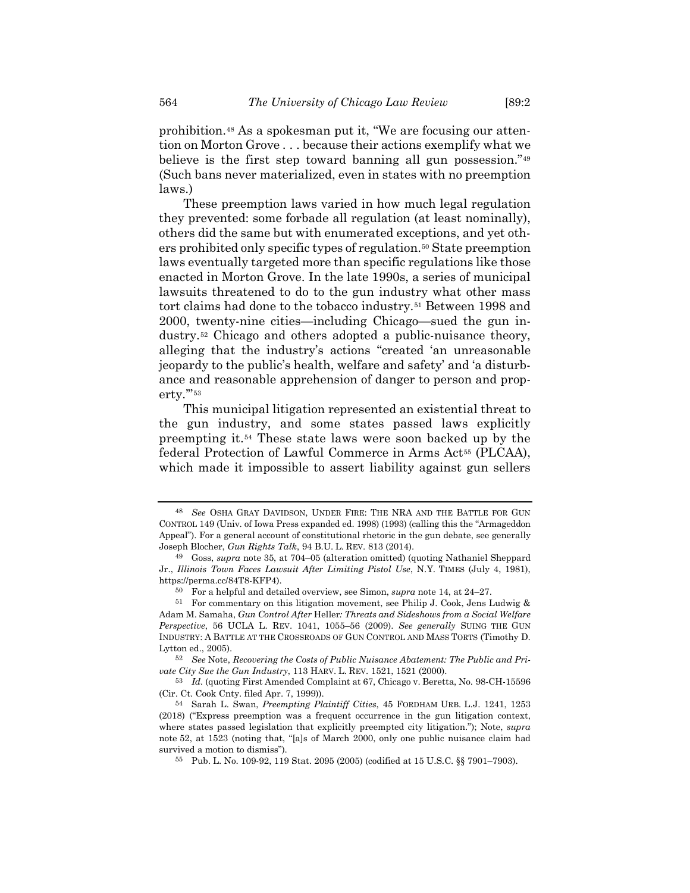<span id="page-7-11"></span><span id="page-7-10"></span>prohibition.[48](#page-7-1) As a spokesman put it, "We are focusing our attention on Morton Grove . . . because their actions exemplify what we believe is the first step toward banning all gun possession."[49](#page-7-2) (Such bans never materialized, even in states with no preemption laws.)

These preemption laws varied in how much legal regulation they prevented: some forbade all regulation (at least nominally), others did the same but with enumerated exceptions, and yet others prohibited only specific types of regulation.[50](#page-7-3) State preemption laws eventually targeted more than specific regulations like those enacted in Morton Grove. In the late 1990s, a series of municipal lawsuits threatened to do to the gun industry what other mass tort claims had done to the tobacco industry.[51](#page-7-4) Between 1998 and 2000, twenty-nine cities—including Chicago—sued the gun industry.[52](#page-7-5) Chicago and others adopted a public-nuisance theory, alleging that the industry's actions "created 'an unreasonable jeopardy to the public's health, welfare and safety' and 'a disturbance and reasonable apprehension of danger to person and prop-erty."<sup>[53](#page-7-6)</sup>

<span id="page-7-9"></span><span id="page-7-0"></span>This municipal litigation represented an existential threat to the gun industry, and some states passed laws explicitly preempting it.[54](#page-7-7) These state laws were soon backed up by the federal Protection of Lawful Commerce in Arms Act<sup>[55](#page-7-8)</sup> (PLCAA), which made it impossible to assert liability against gun sellers

<span id="page-7-1"></span><sup>48</sup> *See* OSHA GRAY DAVIDSON, UNDER FIRE: THE NRA AND THE BATTLE FOR GUN CONTROL 149 (Univ. of Iowa Press expanded ed. 1998) (1993) (calling this the "Armageddon Appeal"). For a general account of constitutional rhetoric in the gun debate, see generally Joseph Blocher, *Gun Rights Talk*, 94 B.U. L. REV. 813 (2014).

<span id="page-7-2"></span><sup>49</sup> Goss, *supra* note [35,](#page-5-12) at 704–05 (alteration omitted) (quoting Nathaniel Sheppard Jr., *Illinois Town Faces Lawsuit After Limiting Pistol Use*, N.Y. TIMES (July 4, 1981), https://perma.cc/84T8-KFP4).

<sup>50</sup> For a helpful and detailed overview, see Simon, *supra* note [14,](#page-2-5) at 24–27.

<span id="page-7-4"></span><span id="page-7-3"></span><sup>51</sup> For commentary on this litigation movement, see Philip J. Cook, Jens Ludwig & Adam M. Samaha, *Gun Control After* Heller*: Threats and Sideshows from a Social Welfare Perspective*, 56 UCLA L. REV. 1041, 1055–56 (2009). *See generally* SUING THE GUN INDUSTRY: A BATTLE AT THE CROSSROADS OF GUN CONTROL AND MASS TORTS (Timothy D. Lytton ed., 2005).

<span id="page-7-5"></span><sup>52</sup> *See* Note, *Recovering the Costs of Public Nuisance Abatement: The Public and Private City Sue the Gun Industry*, 113 HARV. L. REV. 1521, 1521 (2000).

<span id="page-7-6"></span><sup>53</sup> *Id.* (quoting First Amended Complaint at 67, Chicago v. Beretta, No. 98-CH-15596 (Cir. Ct. Cook Cnty. filed Apr. 7, 1999)).

<span id="page-7-8"></span><span id="page-7-7"></span><sup>54</sup> Sarah L. Swan, *Preempting Plaintiff Cities*, 45 FORDHAM URB. L.J. 1241, 1253 (2018) ("Express preemption was a frequent occurrence in the gun litigation context, where states passed legislation that explicitly preempted city litigation."); Note, *supra* note [52,](#page-7-0) at 1523 (noting that, "[a]s of March 2000, only one public nuisance claim had survived a motion to dismiss").

<sup>55</sup> Pub. L. No. 109-92, 119 Stat. 2095 (2005) (codified at 15 U.S.C. §§ 7901–7903).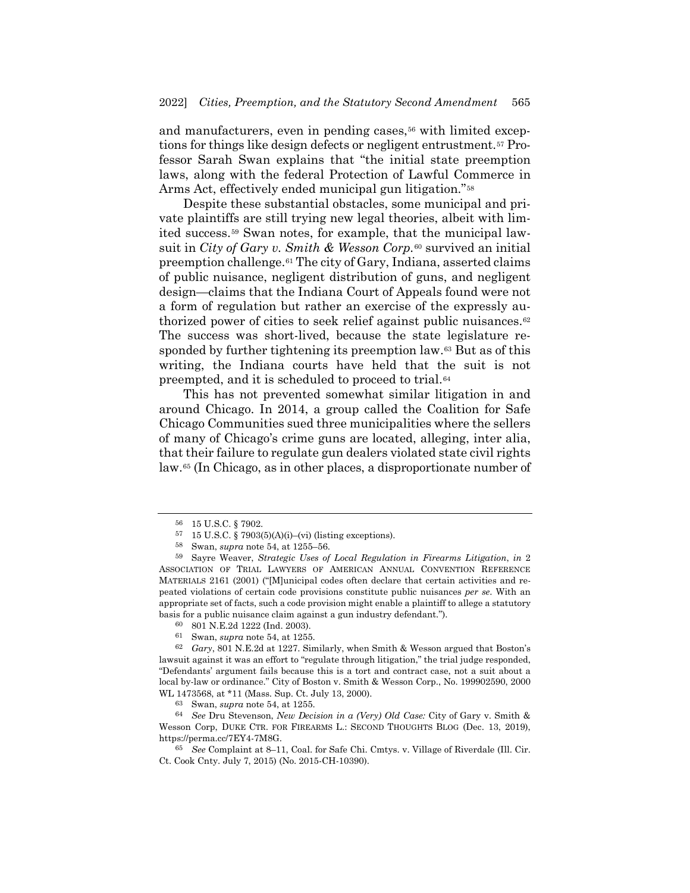and manufacturers, even in pending cases,<sup>[56](#page-8-0)</sup> with limited exceptions for things like design defects or negligent entrustment.[57](#page-8-1) Professor Sarah Swan explains that "the initial state preemption laws, along with the federal Protection of Lawful Commerce in Arms Act, effectively ended municipal gun litigation."[58](#page-8-2)

<span id="page-8-10"></span>Despite these substantial obstacles, some municipal and private plaintiffs are still trying new legal theories, albeit with limited success.[59](#page-8-3) Swan notes, for example, that the municipal lawsuit in *City of Gary v. Smith & Wesson Corp.*[60](#page-8-4) survived an initial preemption challenge.[61](#page-8-5) The city of Gary, Indiana, asserted claims of public nuisance, negligent distribution of guns, and negligent design—claims that the Indiana Court of Appeals found were not a form of regulation but rather an exercise of the expressly au-thorized power of cities to seek relief against public nuisances.<sup>[62](#page-8-6)</sup> The success was short-lived, because the state legislature responded by further tightening its preemption law.[63](#page-8-7) But as of this writing, the Indiana courts have held that the suit is not preempted, and it is scheduled to proceed to trial.[64](#page-8-8)

This has not prevented somewhat similar litigation in and around Chicago. In 2014, a group called the Coalition for Safe Chicago Communities sued three municipalities where the sellers of many of Chicago's crime guns are located, alleging, inter alia, that their failure to regulate gun dealers violated state civil rights law[.65](#page-8-9) (In Chicago, as in other places, a disproportionate number of

<sup>56</sup> 15 U.S.C. § 7902.

 $57$  15 U.S.C. § 7903(5)(A)(i)–(vi) (listing exceptions).

<sup>58</sup> Swan, *supra* note [54,](#page-7-9) at 1255–56.

<span id="page-8-3"></span><span id="page-8-2"></span><span id="page-8-1"></span><span id="page-8-0"></span><sup>59</sup> Sayre Weaver, *Strategic Uses of Local Regulation in Firearms Litigation*, *in* 2 ASSOCIATION OF TRIAL LAWYERS OF AMERICAN ANNUAL CONVENTION REFERENCE MATERIALS 2161 (2001) ("[M]unicipal codes often declare that certain activities and repeated violations of certain code provisions constitute public nuisances *per se*. With an appropriate set of facts, such a code provision might enable a plaintiff to allege a statutory basis for a public nuisance claim against a gun industry defendant.").

<sup>60</sup> 801 N.E.2d 1222 (Ind. 2003).

<sup>61</sup> Swan, *supra* note [54,](#page-7-9) at 1255.

<span id="page-8-6"></span><span id="page-8-5"></span><span id="page-8-4"></span><sup>62</sup> *Gary*, 801 N.E.2d at 1227. Similarly, when Smith & Wesson argued that Boston's lawsuit against it was an effort to "regulate through litigation," the trial judge responded, "Defendants' argument fails because this is a tort and contract case, not a suit about a local by-law or ordinance." City of Boston v. Smith & Wesson Corp., No. 199902590, 2000 WL 1473568, at \*11 (Mass. Sup. Ct. July 13, 2000).

<sup>63</sup> Swan, *supra* note [54,](#page-7-9) at 1255.

<span id="page-8-8"></span><span id="page-8-7"></span><sup>64</sup> *See* Dru Stevenson, *New Decision in a (Very) Old Case:* City of Gary v. Smith & Wesson Corp, DUKE CTR. FOR FIREARMS L.: SECOND THOUGHTS BLOG (Dec. 13, 2019), https://perma.cc/7EY4-7M8G.

<span id="page-8-9"></span><sup>65</sup> *See* Complaint at 8–11, Coal. for Safe Chi. Cmtys. v. Village of Riverdale (Ill. Cir. Ct. Cook Cnty. July 7, 2015) (No. 2015-CH-10390).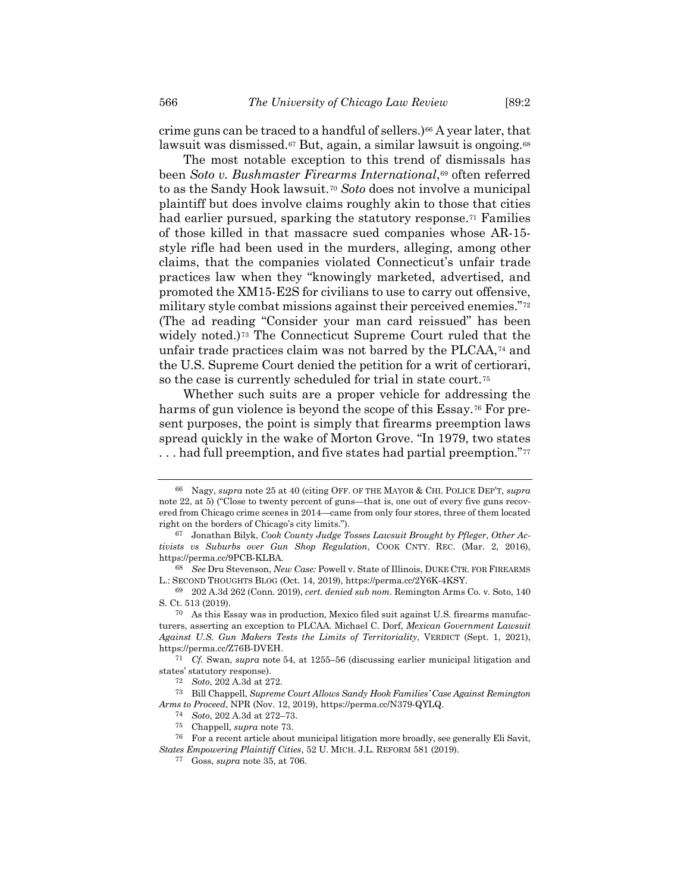crime guns can be traced to a handful of sellers.[\)66](#page-9-1) A year later, that lawsuit was dismissed.[67](#page-9-2) But, again, a similar lawsuit is ongoing.[68](#page-9-3)

The most notable exception to this trend of dismissals has been *Soto v. Bushmaster Firearms International*,[69](#page-9-4) often referred to as the Sandy Hook lawsuit.[70](#page-9-5) *Soto* does not involve a municipal plaintiff but does involve claims roughly akin to those that cities had earlier pursued, sparking the statutory response.<sup>[71](#page-9-6)</sup> Families of those killed in that massacre sued companies whose AR-15 style rifle had been used in the murders, alleging, among other claims, that the companies violated Connecticut's unfair trade practices law when they "knowingly marketed, advertised, and promoted the XM15-E2S for civilians to use to carry out offensive, military style combat missions against their perceived enemies."[72](#page-9-7) (The ad reading "Consider your man card reissued" has been widely noted.)[73](#page-9-8) The Connecticut Supreme Court ruled that the unfair trade practices claim was not barred by the PLCAA,[74](#page-9-9) and the U.S. Supreme Court denied the petition for a writ of certiorari, so the case is currently scheduled for trial in state court.<sup>[75](#page-9-10)</sup>

<span id="page-9-0"></span>Whether such suits are a proper vehicle for addressing the harms of gun violence is beyond the scope of this Essay.<sup>[76](#page-9-11)</sup> For present purposes, the point is simply that firearms preemption laws spread quickly in the wake of Morton Grove. "In 1979, two states ... had full preemption, and five states had partial preemption."<sup>[77](#page-9-12)</sup>

<span id="page-9-1"></span><sup>66</sup> Nagy, *supra* note [25](#page-4-7) at 40 (citing OFF. OF THE MAYOR & CHI. POLICE DEP'T, *supra* note [22,](#page-3-8) at 5) ("Close to twenty percent of guns—that is, one out of every five guns recovered from Chicago crime scenes in 2014—came from only four stores, three of them located right on the borders of Chicago's city limits.").

<span id="page-9-2"></span><sup>67</sup> Jonathan Bilyk, *Cook County Judge Tosses Lawsuit Brought by Pfleger, Other Activists vs Suburbs over Gun Shop Regulation*, COOK CNTY. REC. (Mar. 2, 2016), https://perma.cc/9PCB-KLBA.

<span id="page-9-3"></span><sup>68</sup> *See* Dru Stevenson, *New Case:* Powell v. State of Illinois, DUKE CTR. FOR FIREARMS L.: SECOND THOUGHTS BLOG (Oct. 14, 2019), https://perma.cc/2Y6K-4KSY.

<span id="page-9-4"></span><sup>69</sup> 202 A.3d 262 (Conn. 2019), *cert. denied sub nom.* Remington Arms Co. v. Soto, 140 S. Ct. 513 (2019).

<span id="page-9-5"></span><sup>70</sup> As this Essay was in production, Mexico filed suit against U.S. firearms manufacturers, asserting an exception to PLCAA. Michael C. Dorf, *Mexican Government Lawsuit Against U.S. Gun Makers Tests the Limits of Territoriality*, VERDICT (Sept. 1, 2021), https://perma.cc/Z76B-DVEH.

<span id="page-9-6"></span><sup>71</sup> *Cf.* Swan, *supra* note [54,](#page-7-9) at 1255–56 (discussing earlier municipal litigation and states' statutory response).

<sup>72</sup> *Soto*, 202 A.3d at 272.

<span id="page-9-9"></span><span id="page-9-8"></span><span id="page-9-7"></span><sup>73</sup> Bill Chappell, *Supreme Court Allows Sandy Hook Families' Case Against Remington Arms to Proceed*, NPR (Nov. 12, 2019), https://perma.cc/N379-QYLQ.

<sup>74</sup> *Soto*, 202 A.3d at 272–73.

<sup>75</sup> Chappell, *supra* note [73.](#page-9-0)

<sup>76</sup> For a recent article about municipal litigation more broadly, see generally Eli Savit,

<span id="page-9-12"></span><span id="page-9-11"></span><span id="page-9-10"></span>*States Empowering Plaintiff Cities*, 52 U. MICH. J.L. REFORM 581 (2019).

<sup>77</sup> Goss, *supra* note [35,](#page-5-12) at 706.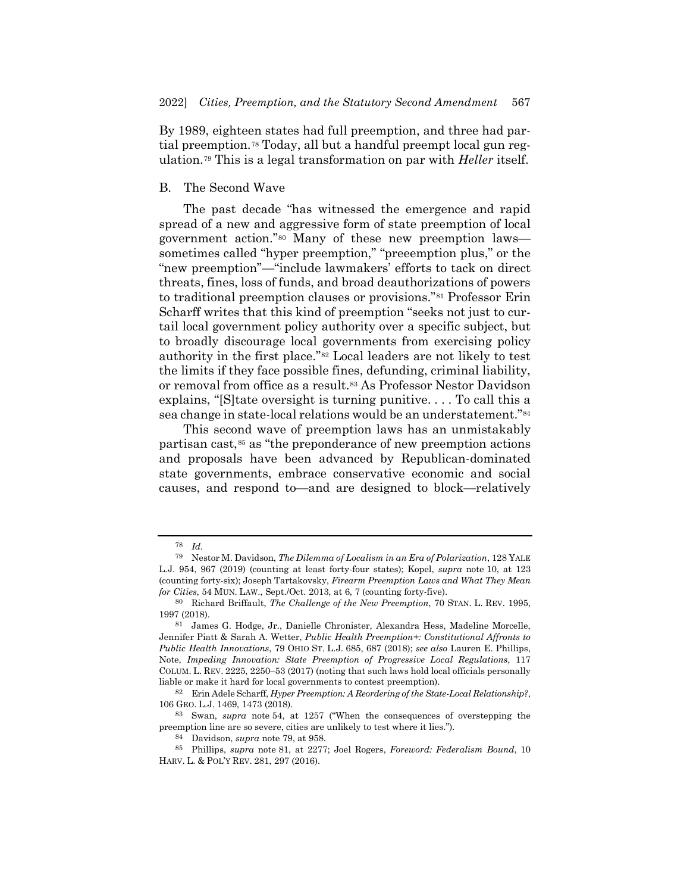<span id="page-10-1"></span>By 1989, eighteen states had full preemption, and three had partial preemption.[78](#page-10-3) Today, all but a handful preempt local gun regulation.[79](#page-10-4) This is a legal transformation on par with *Heller* itself.

### B. The Second Wave

<span id="page-10-2"></span><span id="page-10-0"></span>The past decade "has witnessed the emergence and rapid spread of a new and aggressive form of state preemption of local government action."[80](#page-10-5) Many of these new preemption laws sometimes called "hyper preemption," "preeemption plus," or the "new preemption"—"include lawmakers' efforts to tack on direct threats, fines, loss of funds, and broad deauthorizations of powers to traditional preemption clauses or provisions."[81](#page-10-6) Professor Erin Scharff writes that this kind of preemption "seeks not just to curtail local government policy authority over a specific subject, but to broadly discourage local governments from exercising policy authority in the first place."[82](#page-10-7) Local leaders are not likely to test the limits if they face possible fines, defunding, criminal liability, or removal from office as a result.[83](#page-10-8) As Professor Nestor Davidson explains, "[S]tate oversight is turning punitive. . . . To call this a sea change in state-local relations would be an understatement."[84](#page-10-9)

<span id="page-10-11"></span>This second wave of preemption laws has an unmistakably partisan cast,[85](#page-10-10) as "the preponderance of new preemption actions and proposals have been advanced by Republican-dominated state governments, embrace conservative economic and social causes, and respond to—and are designed to block—relatively

<sup>78</sup> *Id.*

<span id="page-10-4"></span><span id="page-10-3"></span><sup>79</sup> Nestor M. Davidson, *The Dilemma of Localism in an Era of Polarization*, 128 YALE L.J. 954, 967 (2019) (counting at least forty-four states); Kopel, *supra* note [10,](#page-1-7) at 123 (counting forty-six); Joseph Tartakovsky, *Firearm Preemption Laws and What They Mean for Cities*, 54 MUN. LAW., Sept./Oct. 2013, at 6, 7 (counting forty-five).

<span id="page-10-5"></span><sup>80</sup> Richard Briffault, *The Challenge of the New Preemption*, 70 STAN. L. REV. 1995, 1997 (2018).

<span id="page-10-6"></span><sup>81</sup> James G. Hodge, Jr., Danielle Chronister, Alexandra Hess, Madeline Morcelle, Jennifer Piatt & Sarah A. Wetter, *Public Health Preemption+: Constitutional Affronts to Public Health Innovations*, 79 OHIO ST. L.J. 685, 687 (2018); *see also* Lauren E. Phillips, Note, *Impeding Innovation: State Preemption of Progressive Local Regulations*, 117 COLUM. L. REV. 2225, 2250–53 (2017) (noting that such laws hold local officials personally liable or make it hard for local governments to contest preemption).

<span id="page-10-7"></span><sup>82</sup> Erin Adele Scharff, *Hyper Preemption: A Reordering of the State-Local Relationship?*, 106 GEO. L.J. 1469, 1473 (2018).

<span id="page-10-8"></span><sup>83</sup> Swan, *supra* note [54,](#page-7-9) at 1257 ("When the consequences of overstepping the preemption line are so severe, cities are unlikely to test where it lies.").

<sup>84</sup> Davidson, *supra* note [79,](#page-10-1) at 958.

<span id="page-10-10"></span><span id="page-10-9"></span><sup>85</sup> Phillips, *supra* note [81,](#page-10-2) at 2277; Joel Rogers, *Foreword: Federalism Bound*, 10 HARV. L. & POL'Y REV. 281, 297 (2016).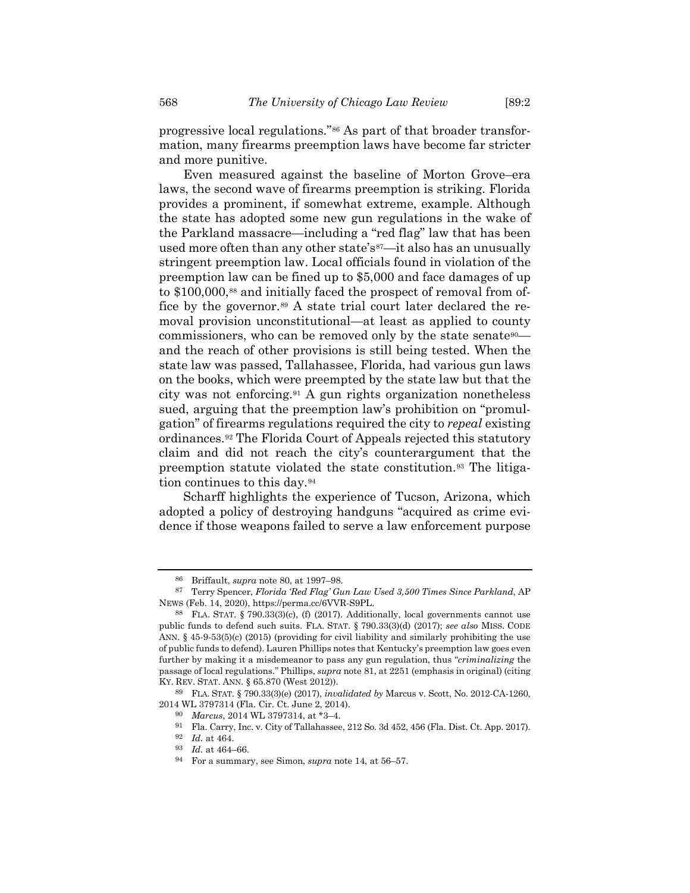<span id="page-11-0"></span>progressive local regulations."[86](#page-11-1) As part of that broader transformation, many firearms preemption laws have become far stricter and more punitive.

Even measured against the baseline of Morton Grove–era laws, the second wave of firearms preemption is striking. Florida provides a prominent, if somewhat extreme, example. Although the state has adopted some new gun regulations in the wake of the Parkland massacre—including a "red flag" law that has been used more often than any other state's<sup>[87](#page-11-2)</sup>—it also has an unusually stringent preemption law. Local officials found in violation of the preemption law can be fined up to \$5,000 and face damages of up to \$100,000,<sup>[88](#page-11-3)</sup> and initially faced the prospect of removal from of-fice by the governor.<sup>[89](#page-11-4)</sup> A state trial court later declared the removal provision unconstitutional—at least as applied to county commissioners, who can be removed only by the state senate<sup>90</sup> and the reach of other provisions is still being tested. When the state law was passed, Tallahassee, Florida, had various gun laws on the books, which were preempted by the state law but that the city was not enforcing.[91](#page-11-6) A gun rights organization nonetheless sued, arguing that the preemption law's prohibition on "promulgation" of firearms regulations required the city to *repeal* existing ordinances.[92](#page-11-7) The Florida Court of Appeals rejected this statutory claim and did not reach the city's counterargument that the preemption statute violated the state constitution.[93](#page-11-8) The litigation continues to this day.[94](#page-11-9)

Scharff highlights the experience of Tucson, Arizona, which adopted a policy of destroying handguns "acquired as crime evidence if those weapons failed to serve a law enforcement purpose

<sup>86</sup> Briffault, *supra* note [80,](#page-10-0) at 1997–98.

<span id="page-11-2"></span><span id="page-11-1"></span><sup>87</sup> Terry Spencer, *Florida 'Red Flag' Gun Law Used 3,500 Times Since Parkland*, AP NEWS (Feb. 14, 2020), https://perma.cc/6VVR-S9PL.

<span id="page-11-3"></span><sup>88</sup> FLA. STAT. § 790.33(3)(c), (f) (2017). Additionally, local governments cannot use public funds to defend such suits. FLA. STAT. § 790.33(3)(d) (2017); *see also* MISS. CODE ANN. § 45-9-53(5)(c) (2015) (providing for civil liability and similarly prohibiting the use of public funds to defend). Lauren Phillips notes that Kentucky's preemption law goes even further by making it a misdemeanor to pass any gun regulation, thus "*criminalizing* the passage of local regulations." Phillips, *supra* note [81,](#page-10-2) at 2251 (emphasis in original) (citing KY. REV. STAT. ANN. § 65.870 (West 2012)).

<span id="page-11-9"></span><span id="page-11-8"></span><span id="page-11-7"></span><span id="page-11-6"></span><span id="page-11-5"></span><span id="page-11-4"></span><sup>89</sup> FLA. STAT. § 790.33(3)(e) (2017), *invalidated by* Marcus v. Scott, No. 2012-CA-1260, 2014 WL 3797314 (Fla. Cir. Ct. June 2, 2014).

<sup>90</sup> *Marcus*, 2014 WL 3797314, at \*3–4.

<sup>91</sup> Fla. Carry, Inc. v. City of Tallahassee, 212 So. 3d 452, 456 (Fla. Dist. Ct. App. 2017).

<sup>92</sup> *Id.* at 464.

<sup>93</sup> *Id.* at 464–66.

<sup>94</sup> For a summary, see Simon, *supra* note [14,](#page-2-5) at 56–57.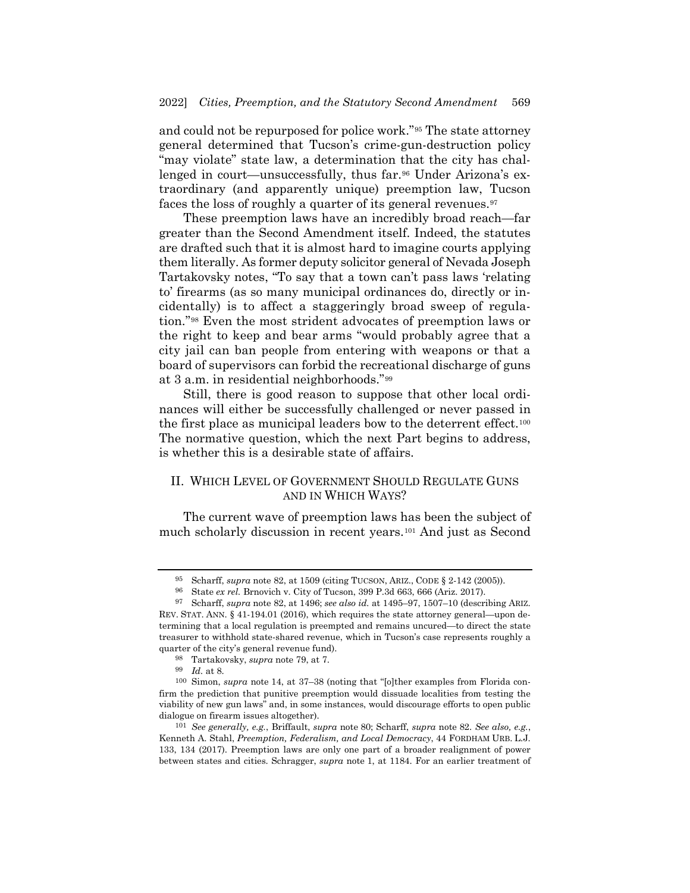<span id="page-12-7"></span>and could not be repurposed for police work."[95](#page-12-0) The state attorney general determined that Tucson's crime-gun-destruction policy "may violate" state law, a determination that the city has challenged in court—unsuccessfully, thus far.[96](#page-12-1) Under Arizona's extraordinary (and apparently unique) preemption law, Tucson faces the loss of roughly a quarter of its general revenues.<sup>[97](#page-12-2)</sup>

<span id="page-12-8"></span>These preemption laws have an incredibly broad reach—far greater than the Second Amendment itself. Indeed, the statutes are drafted such that it is almost hard to imagine courts applying them literally. As former deputy solicitor general of Nevada Joseph Tartakovsky notes, "To say that a town can't pass laws 'relating to' firearms (as so many municipal ordinances do, directly or incidentally) is to affect a staggeringly broad sweep of regulation."[98](#page-12-3) Even the most strident advocates of preemption laws or the right to keep and bear arms "would probably agree that a city jail can ban people from entering with weapons or that a board of supervisors can forbid the recreational discharge of guns at 3 a.m. in residential neighborhoods."[99](#page-12-4)

Still, there is good reason to suppose that other local ordinances will either be successfully challenged or never passed in the first place as municipal leaders bow to the deterrent effect.[100](#page-12-5) The normative question, which the next Part begins to address, is whether this is a desirable state of affairs.

## II. WHICH LEVEL OF GOVERNMENT SHOULD REGULATE GUNS AND IN WHICH WAYS?

The current wave of preemption laws has been the subject of much scholarly discussion in recent years.[101](#page-12-6) And just as Second

<sup>95</sup> Scharff, *supra* note [82,](#page-10-11) at 1509 (citing TUCSON, ARIZ., CODE § 2-142 (2005)).

<sup>96</sup> State *ex rel.* Brnovich v. City of Tucson, 399 P.3d 663, 666 (Ariz. 2017).

<span id="page-12-2"></span><span id="page-12-1"></span><span id="page-12-0"></span><sup>97</sup> Scharff, *supra* note [82,](#page-10-11) at 1496; *see also id.* at 1495–97, 1507–10 (describing ARIZ. REV. STAT. ANN. § 41-194.01 (2016), which requires the state attorney general—upon determining that a local regulation is preempted and remains uncured—to direct the state treasurer to withhold state-shared revenue, which in Tucson's case represents roughly a quarter of the city's general revenue fund).

<sup>98</sup> Tartakovsky, *supra* note [79,](#page-10-1) at 7.

<sup>99</sup> *Id.* at 8.

<span id="page-12-5"></span><span id="page-12-4"></span><span id="page-12-3"></span><sup>100</sup> Simon, *supra* note [14,](#page-2-5) at 37–38 (noting that "[o]ther examples from Florida confirm the prediction that punitive preemption would dissuade localities from testing the viability of new gun laws" and, in some instances, would discourage efforts to open public dialogue on firearm issues altogether).

<span id="page-12-6"></span><sup>101</sup> *See generally, e.g.*, Briffault, *supra* note [80;](#page-10-0) Scharff, *supra* note [82.](#page-10-11) *See also, e.g.*, Kenneth A. Stahl, *Preemption, Federalism, and Local Democracy*, 44 FORDHAM URB. L.J. 133, 134 (2017). Preemption laws are only one part of a broader realignment of power between states and cities. Schragger, *supra* note [1,](#page-0-5) at 1184. For an earlier treatment of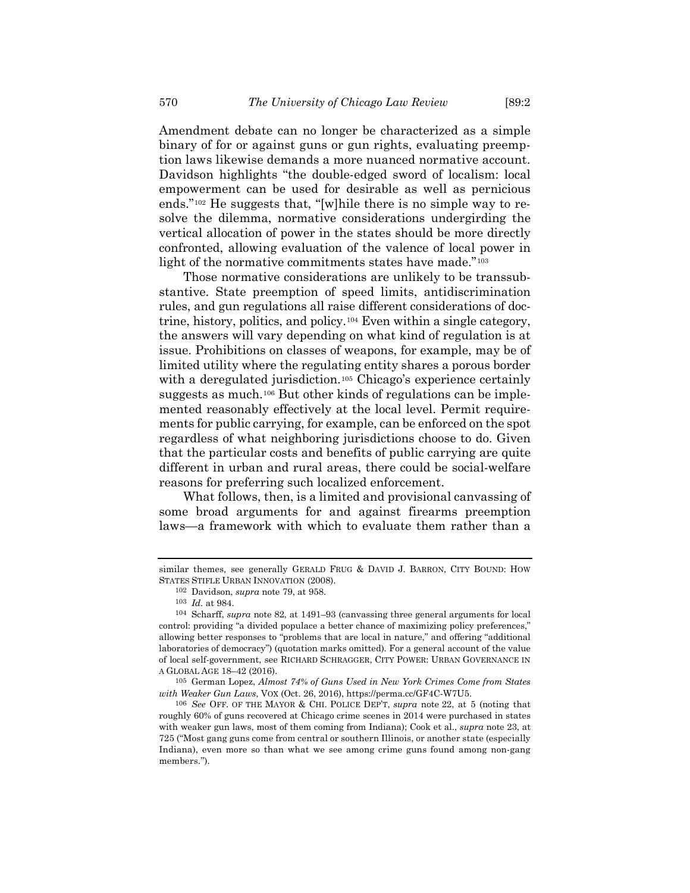Amendment debate can no longer be characterized as a simple binary of for or against guns or gun rights, evaluating preemption laws likewise demands a more nuanced normative account. Davidson highlights "the double-edged sword of localism: local empowerment can be used for desirable as well as pernicious ends."[102](#page-13-0) He suggests that, "[w]hile there is no simple way to resolve the dilemma, normative considerations undergirding the vertical allocation of power in the states should be more directly confronted, allowing evaluation of the valence of local power in light of the normative commitments states have made."<sup>[103](#page-13-1)</sup>

<span id="page-13-5"></span>Those normative considerations are unlikely to be transsubstantive. State preemption of speed limits, antidiscrimination rules, and gun regulations all raise different considerations of doctrine, history, politics, and policy.[104](#page-13-2) Even within a single category, the answers will vary depending on what kind of regulation is at issue. Prohibitions on classes of weapons, for example, may be of limited utility where the regulating entity shares a porous border with a deregulated jurisdiction.<sup>[105](#page-13-3)</sup> Chicago's experience certainly suggests as much.[106](#page-13-4) But other kinds of regulations can be implemented reasonably effectively at the local level. Permit requirements for public carrying, for example, can be enforced on the spot regardless of what neighboring jurisdictions choose to do. Given that the particular costs and benefits of public carrying are quite different in urban and rural areas, there could be social-welfare reasons for preferring such localized enforcement.

<span id="page-13-6"></span>What follows, then, is a limited and provisional canvassing of some broad arguments for and against firearms preemption laws—a framework with which to evaluate them rather than a

<span id="page-13-0"></span>similar themes, see generally GERALD FRUG & DAVID J. BARRON, CITY BOUND: HOW STATES STIFLE URBAN INNOVATION (2008).

<sup>102</sup> Davidson, *supra* note [79,](#page-10-1) at 958.

<sup>103</sup> *Id.* at 984.

<span id="page-13-2"></span><span id="page-13-1"></span><sup>104</sup> Scharff, *supra* note [82,](#page-10-11) at 1491–93 (canvassing three general arguments for local control: providing "a divided populace a better chance of maximizing policy preferences," allowing better responses to "problems that are local in nature," and offering "additional laboratories of democracy") (quotation marks omitted). For a general account of the value of local self-government, see RICHARD SCHRAGGER, CITY POWER: URBAN GOVERNANCE IN A GLOBAL AGE 18–42 (2016).

<span id="page-13-3"></span><sup>105</sup> German Lopez, *Almost 74% of Guns Used in New York Crimes Come from States with Weaker Gun Laws*, VOX (Oct. 26, 2016), https://perma.cc/GF4C-W7U5.

<span id="page-13-4"></span><sup>106</sup> *See* OFF. OF THE MAYOR & CHI. POLICE DEP'T, *supra* note [22,](#page-3-8) at 5 (noting that roughly 60% of guns recovered at Chicago crime scenes in 2014 were purchased in states with weaker gun laws, most of them coming from Indiana); Cook et al., *supra* note [23,](#page-3-9) at 725 ("Most gang guns come from central or southern Illinois, or another state (especially Indiana), even more so than what we see among crime guns found among non-gang members.").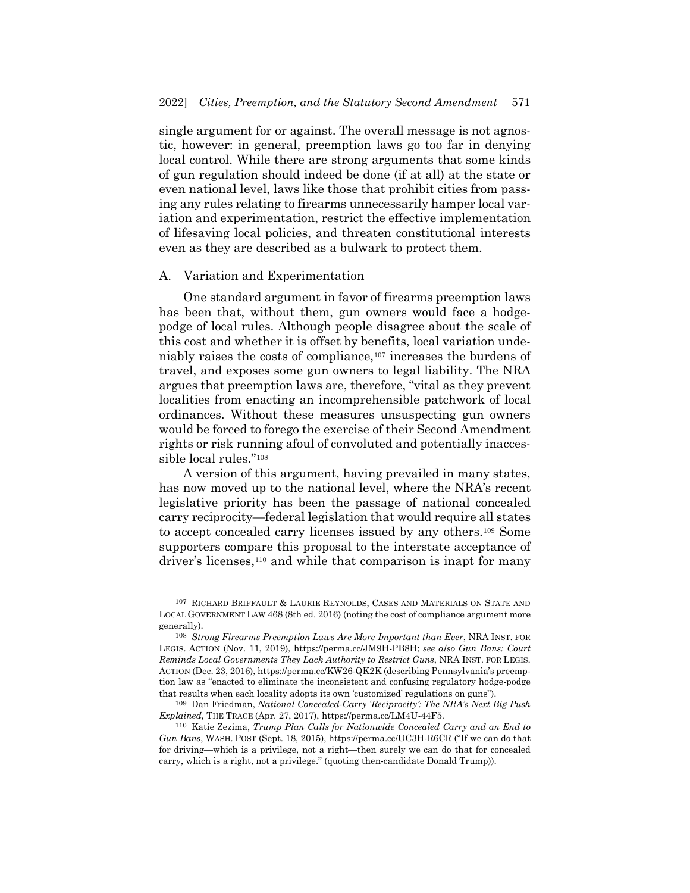single argument for or against. The overall message is not agnostic, however: in general, preemption laws go too far in denying local control. While there are strong arguments that some kinds of gun regulation should indeed be done (if at all) at the state or even national level, laws like those that prohibit cities from passing any rules relating to firearms unnecessarily hamper local variation and experimentation, restrict the effective implementation of lifesaving local policies, and threaten constitutional interests even as they are described as a bulwark to protect them.

### A. Variation and Experimentation

One standard argument in favor of firearms preemption laws has been that, without them, gun owners would face a hodgepodge of local rules. Although people disagree about the scale of this cost and whether it is offset by benefits, local variation undeniably raises the costs of compliance, $107$  increases the burdens of travel, and exposes some gun owners to legal liability. The NRA argues that preemption laws are, therefore, "vital as they prevent localities from enacting an incomprehensible patchwork of local ordinances. Without these measures unsuspecting gun owners would be forced to forego the exercise of their Second Amendment rights or risk running afoul of convoluted and potentially inaccessible local rules."[108](#page-14-1)

A version of this argument, having prevailed in many states, has now moved up to the national level, where the NRA's recent legislative priority has been the passage of national concealed carry reciprocity—federal legislation that would require all states to accept concealed carry licenses issued by any others.[109](#page-14-2) Some supporters compare this proposal to the interstate acceptance of driver's licenses[,110](#page-14-3) and while that comparison is inapt for many

<span id="page-14-0"></span><sup>107</sup> RICHARD BRIFFAULT & LAURIE REYNOLDS, CASES AND MATERIALS ON STATE AND LOCAL GOVERNMENT LAW 468 (8th ed. 2016) (noting the cost of compliance argument more generally).

<span id="page-14-1"></span><sup>108</sup> *Strong Firearms Preemption Laws Are More Important than Ever*, NRA INST. FOR LEGIS. ACTION (Nov. 11, 2019), https://perma.cc/JM9H-PB8H; *see also Gun Bans: Court Reminds Local Governments They Lack Authority to Restrict Guns*, NRA INST. FOR LEGIS. ACTION (Dec. 23, 2016), https://perma.cc/KW26-QK2K (describing Pennsylvania's preemption law as "enacted to eliminate the inconsistent and confusing regulatory hodge-podge that results when each locality adopts its own 'customized' regulations on guns").

<span id="page-14-2"></span><sup>109</sup> Dan Friedman, *National Concealed-Carry 'Reciprocity': The NRA's Next Big Push Explained*, THE TRACE (Apr. 27, 2017), https://perma.cc/LM4U-44F5.

<span id="page-14-3"></span><sup>110</sup> Katie Zezima, *Trump Plan Calls for Nationwide Concealed Carry and an End to Gun Bans*, WASH. POST (Sept. 18, 2015), https://perma.cc/UC3H-R6CR ("If we can do that for driving—which is a privilege, not a right—then surely we can do that for concealed carry, which is a right, not a privilege." (quoting then-candidate Donald Trump)).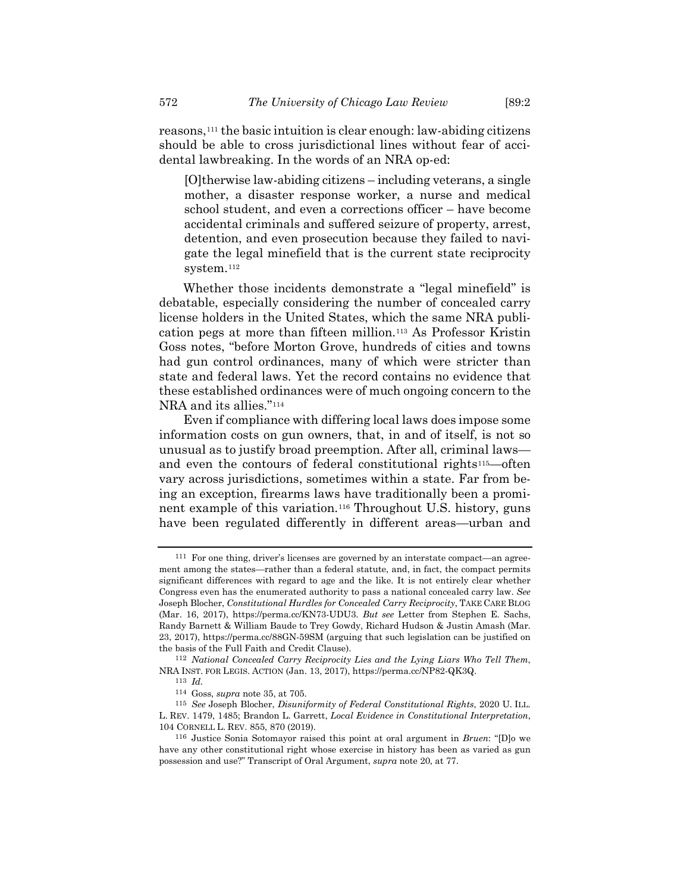reasons,[111](#page-15-0) the basic intuition is clear enough: law-abiding citizens should be able to cross jurisdictional lines without fear of accidental lawbreaking. In the words of an NRA op-ed:

[O]therwise law-abiding citizens – including veterans, a single mother, a disaster response worker, a nurse and medical school student, and even a corrections officer – have become accidental criminals and suffered seizure of property, arrest, detention, and even prosecution because they failed to navigate the legal minefield that is the current state reciprocity system.[112](#page-15-1)

Whether those incidents demonstrate a "legal minefield" is debatable, especially considering the number of concealed carry license holders in the United States, which the same NRA publication pegs at more than fifteen million.[113](#page-15-2) As Professor Kristin Goss notes, "before Morton Grove, hundreds of cities and towns had gun control ordinances, many of which were stricter than state and federal laws. Yet the record contains no evidence that these established ordinances were of much ongoing concern to the NRA and its allies."<sup>[114](#page-15-3)</sup>

Even if compliance with differing local laws does impose some information costs on gun owners, that, in and of itself, is not so unusual as to justify broad preemption. After all, criminal laws— and even the contours of federal constitutional rights<sup>[115](#page-15-4)</sup>—often vary across jurisdictions, sometimes within a state. Far from being an exception, firearms laws have traditionally been a prominent example of this variation.[116](#page-15-5) Throughout U.S. history, guns have been regulated differently in different areas—urban and

<span id="page-15-0"></span><sup>111</sup> For one thing, driver's licenses are governed by an interstate compact—an agreement among the states—rather than a federal statute, and, in fact, the compact permits significant differences with regard to age and the like. It is not entirely clear whether Congress even has the enumerated authority to pass a national concealed carry law. *See* Joseph Blocher, *Constitutional Hurdles for Concealed Carry Reciprocity*, TAKE CARE BLOG (Mar. 16, 2017), https://perma.cc/KN73-UDU3. *But see* Letter from Stephen E. Sachs, Randy Barnett & William Baude to Trey Gowdy, Richard Hudson & Justin Amash (Mar. 23, 2017), https://perma.cc/88GN-59SM (arguing that such legislation can be justified on the basis of the Full Faith and Credit Clause).

<span id="page-15-1"></span><sup>112</sup> *National Concealed Carry Reciprocity Lies and the Lying Liars Who Tell Them*, NRA INST. FOR LEGIS. ACTION (Jan. 13, 2017), https://perma.cc/NP82-QK3Q.

<sup>113</sup> *Id.*

<sup>114</sup> Goss, *supra* note [35,](#page-5-12) at 705.

<span id="page-15-4"></span><span id="page-15-3"></span><span id="page-15-2"></span><sup>115</sup> *See* Joseph Blocher, *Disuniformity of Federal Constitutional Rights*, 2020 U. ILL. L. REV. 1479, 1485; Brandon L. Garrett, *Local Evidence in Constitutional Interpretation*, 104 CORNELL L. REV. 855, 870 (2019).

<span id="page-15-5"></span><sup>116</sup> Justice Sonia Sotomayor raised this point at oral argument in *Bruen*: "[D]o we have any other constitutional right whose exercise in history has been as varied as gun possession and use?" Transcript of Oral Argument, *supra* note [20,](#page-3-7) at 77.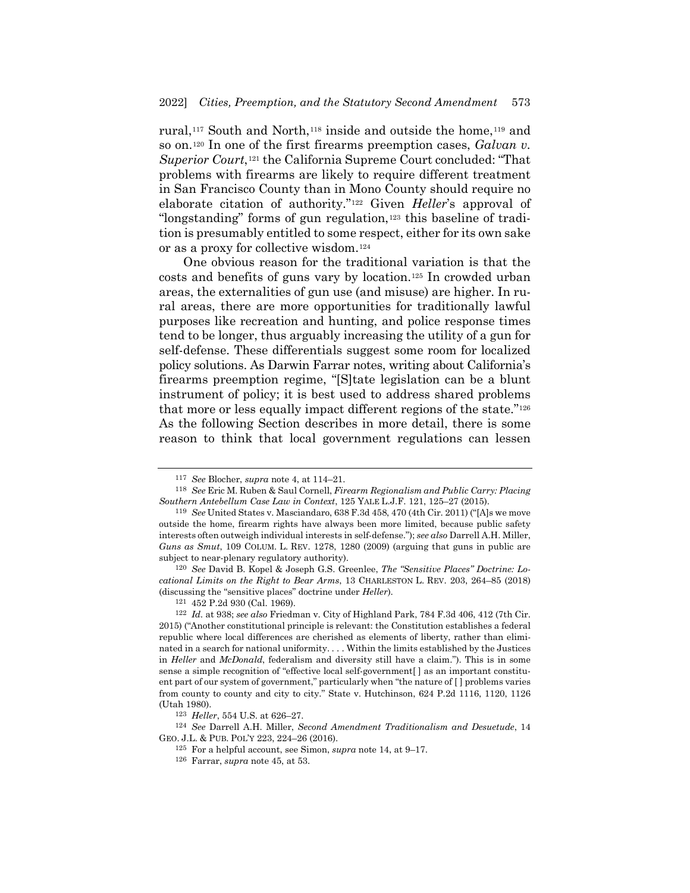rural,<sup>[117](#page-16-0)</sup> South and North,<sup>[118](#page-16-1)</sup> inside and outside the home,<sup>[119](#page-16-2)</sup> and so on.[120](#page-16-3) In one of the first firearms preemption cases, *Galvan v. Superior Court*,[121](#page-16-4) the California Supreme Court concluded: "That problems with firearms are likely to require different treatment in San Francisco County than in Mono County should require no elaborate citation of authority."[122](#page-16-5) Given *Heller*'s approval of "longstanding" forms of gun regulation,<sup>[123](#page-16-6)</sup> this baseline of tradition is presumably entitled to some respect, either for its own sake or as a proxy for collective wisdom.[124](#page-16-7)

One obvious reason for the traditional variation is that the costs and benefits of guns vary by location.[125](#page-16-8) In crowded urban areas, the externalities of gun use (and misuse) are higher. In rural areas, there are more opportunities for traditionally lawful purposes like recreation and hunting, and police response times tend to be longer, thus arguably increasing the utility of a gun for self-defense. These differentials suggest some room for localized policy solutions. As Darwin Farrar notes, writing about California's firearms preemption regime, "[S]tate legislation can be a blunt instrument of policy; it is best used to address shared problems that more or less equally impact different regions of the state."[126](#page-16-9) As the following Section describes in more detail, there is some reason to think that local government regulations can lessen

<span id="page-16-3"></span>120 *See* David B. Kopel & Joseph G.S. Greenlee, *The "Sensitive Places" Doctrine: Locational Limits on the Right to Bear Arms*, 13 CHARLESTON L. REV. 203, 264–85 (2018) (discussing the "sensitive places" doctrine under *Heller*).

<span id="page-16-9"></span><span id="page-16-8"></span><span id="page-16-7"></span><span id="page-16-6"></span>124 *See* Darrell A.H. Miller, *Second Amendment Traditionalism and Desuetude*, 14 GEO. J.L. & PUB. POL'Y 223, 224–26 (2016).

<sup>117</sup> *See* Blocher, *supra* note [4,](#page-0-6) at 114–21.

<span id="page-16-1"></span><span id="page-16-0"></span><sup>118</sup> *See* Eric M. Ruben & Saul Cornell, *Firearm Regionalism and Public Carry: Placing Southern Antebellum Case Law in Context*, 125 YALE L.J.F. 121, 125–27 (2015).

<span id="page-16-2"></span><sup>119</sup> *See* United States v. Masciandaro, 638 F.3d 458, 470 (4th Cir. 2011) ("[A]s we move outside the home, firearm rights have always been more limited, because public safety interests often outweigh individual interests in self-defense."); *see also* Darrell A.H. Miller, *Guns as Smut*, 109 COLUM. L. REV. 1278, 1280 (2009) (arguing that guns in public are subject to near-plenary regulatory authority).

<sup>121</sup> 452 P.2d 930 (Cal. 1969).

<span id="page-16-5"></span><span id="page-16-4"></span><sup>122</sup> *Id.* at 938; *see also* Friedman v. City of Highland Park, 784 F.3d 406, 412 (7th Cir. 2015) ("Another constitutional principle is relevant: the Constitution establishes a federal republic where local differences are cherished as elements of liberty, rather than eliminated in a search for national uniformity. . . . Within the limits established by the Justices in *Heller* and *McDonald*, federalism and diversity still have a claim."). This is in some sense a simple recognition of "effective local self-government[ ] as an important constituent part of our system of government," particularly when "the nature of [ ] problems varies from county to county and city to city." State v. Hutchinson, 624 P.2d 1116, 1120, 1126 (Utah 1980).

<sup>123</sup> *Heller*, 554 U.S. at 626–27.

<sup>125</sup> For a helpful account, see Simon, *supra* note [14,](#page-2-5) at 9–17.

<sup>126</sup> Farrar, *supra* note [45,](#page-6-6) at 53.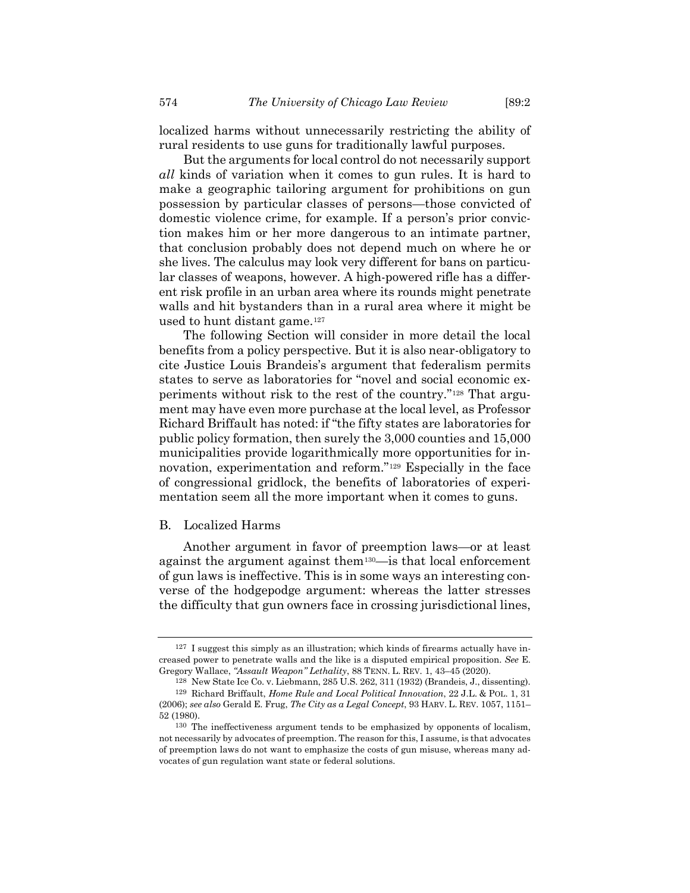localized harms without unnecessarily restricting the ability of rural residents to use guns for traditionally lawful purposes.

But the arguments for local control do not necessarily support *all* kinds of variation when it comes to gun rules. It is hard to make a geographic tailoring argument for prohibitions on gun possession by particular classes of persons—those convicted of domestic violence crime, for example. If a person's prior conviction makes him or her more dangerous to an intimate partner, that conclusion probably does not depend much on where he or she lives. The calculus may look very different for bans on particular classes of weapons, however. A high-powered rifle has a different risk profile in an urban area where its rounds might penetrate walls and hit bystanders than in a rural area where it might be used to hunt distant game.[127](#page-17-0)

The following Section will consider in more detail the local benefits from a policy perspective. But it is also near-obligatory to cite Justice Louis Brandeis's argument that federalism permits states to serve as laboratories for "novel and social economic experiments without risk to the rest of the country."[128](#page-17-1) That argument may have even more purchase at the local level, as Professor Richard Briffault has noted: if "the fifty states are laboratories for public policy formation, then surely the 3,000 counties and 15,000 municipalities provide logarithmically more opportunities for innovation, experimentation and reform."[129](#page-17-2) Especially in the face of congressional gridlock, the benefits of laboratories of experimentation seem all the more important when it comes to guns.

### B. Localized Harms

Another argument in favor of preemption laws—or at least against the argument against the[m130](#page-17-3)—is that local enforcement of gun laws is ineffective. This is in some ways an interesting converse of the hodgepodge argument: whereas the latter stresses the difficulty that gun owners face in crossing jurisdictional lines,

<span id="page-17-0"></span><sup>127</sup> I suggest this simply as an illustration; which kinds of firearms actually have increased power to penetrate walls and the like is a disputed empirical proposition. *See* E. Gregory Wallace, *"Assault Weapon" Lethality*, 88 TENN. L. REV. 1, 43–45 (2020[\).](file://Users/tylerwood/Desktop/Tyler%20Wood/1)%20Chicago/Law%20Review/v89/89.2/Skogan:Blocher/.%5bPUB)

<span id="page-17-2"></span><span id="page-17-1"></span><sup>128</sup> New State Ice Co. v. Liebmann, 285 U.S. 262, 311 (1932) (Brandeis, J., dissenting). 129 Richard Briffault, *Home Rule and Local Political Innovation*, 22 J.L. & POL. 1, 31 (2006); *see also* Gerald E. Frug, *The City as a Legal Concept*, 93 HARV. L. REV. 1057, 1151– 52 (1980).

<span id="page-17-3"></span><sup>130</sup> The ineffectiveness argument tends to be emphasized by opponents of localism, not necessarily by advocates of preemption. The reason for this, I assume, is that advocates of preemption laws do not want to emphasize the costs of gun misuse, whereas many advocates of gun regulation want state or federal solutions.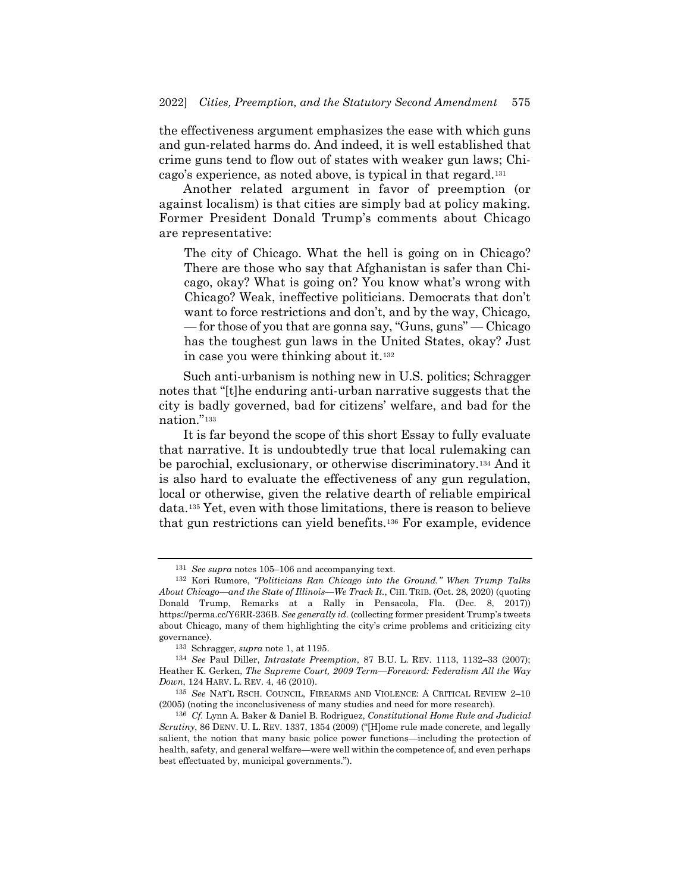the effectiveness argument emphasizes the ease with which guns and gun-related harms do. And indeed, it is well established that crime guns tend to flow out of states with weaker gun laws; Chicago's experience, as noted above, is typical in that regard.[131](#page-18-0)

Another related argument in favor of preemption (or against localism) is that cities are simply bad at policy making. Former President Donald Trump's comments about Chicago are representative:

The city of Chicago. What the hell is going on in Chicago? There are those who say that Afghanistan is safer than Chicago, okay? What is going on? You know what's wrong with Chicago? Weak, ineffective politicians. Democrats that don't want to force restrictions and don't, and by the way, Chicago, — for those of you that are gonna say, "Guns, guns" — Chicago has the toughest gun laws in the United States, okay? Just in case you were thinking about it.[132](#page-18-1)

Such anti-urbanism is nothing new in U.S. politics; Schragger notes that "[t]he enduring anti-urban narrative suggests that the city is badly governed, bad for citizens' welfare, and bad for the nation."[133](#page-18-2)

It is far beyond the scope of this short Essay to fully evaluate that narrative. It is undoubtedly true that local rulemaking can be parochial, exclusionary, or otherwise discriminatory.[134](#page-18-3) And it is also hard to evaluate the effectiveness of any gun regulation, local or otherwise, given the relative dearth of reliable empirical data.[135](#page-18-4) Yet, even with those limitations, there is reason to believe that gun restrictions can yield benefits[.136](#page-18-5) For example, evidence

<sup>131</sup> *See supra* notes [105](#page-13-5)[–106](#page-13-6) and accompanying text.

<span id="page-18-1"></span><span id="page-18-0"></span><sup>132</sup> Kori Rumore, *"Politicians Ran Chicago into the Ground." When Trump Talks About Chicago—and the State of Illinois—We Track It.*, CHI. TRIB. (Oct. 28, 2020) (quoting Donald Trump, Remarks at a Rally in Pensacola, Fla. (Dec. 8, 2017)) https://perma.cc/Y6RR-236B. *See generally id.* (collecting former president Trump's tweets about Chicago, many of them highlighting the city's crime problems and criticizing city governance).

<sup>133</sup> Schragger, *supra* note [1,](#page-0-5) at 1195.

<span id="page-18-3"></span><span id="page-18-2"></span><sup>134</sup> *See* Paul Diller, *Intrastate Preemption*, 87 B.U. L. REV. 1113, 1132–33 (2007); Heather K. Gerken, *The Supreme Court, 2009 Term—Foreword: Federalism All the Way Down*, 124 HARV. L. REV. 4, 46 (2010).

<span id="page-18-4"></span><sup>135</sup> *See* NAT'L RSCH. COUNCIL, FIREARMS AND VIOLENCE: A CRITICAL REVIEW 2–10 (2005) (noting the inconclusiveness of many studies and need for more research).

<span id="page-18-5"></span><sup>136</sup> *Cf.* Lynn A. Baker & Daniel B. Rodriguez, *Constitutional Home Rule and Judicial Scrutiny*, 86 DENV. U. L. REV. 1337, 1354 (2009) ("[H]ome rule made concrete, and legally salient, the notion that many basic police power functions—including the protection of health, safety, and general welfare—were well within the competence of, and even perhaps best effectuated by, municipal governments.").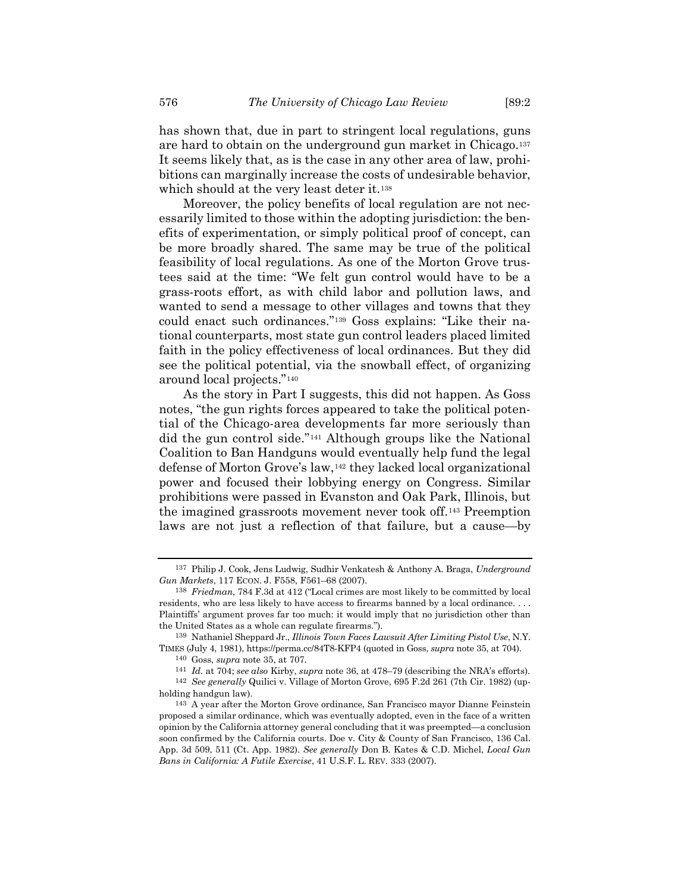has shown that, due in part to stringent local regulations, guns are hard to obtain on the underground gun market in Chicago.[137](#page-19-0) It seems likely that, as is the case in any other area of law, prohibitions can marginally increase the costs of undesirable behavior, which should at the very least deter it.<sup>[138](#page-19-1)</sup>

Moreover, the policy benefits of local regulation are not necessarily limited to those within the adopting jurisdiction: the benefits of experimentation, or simply political proof of concept, can be more broadly shared. The same may be true of the political feasibility of local regulations. As one of the Morton Grove trustees said at the time: "We felt gun control would have to be a grass-roots effort, as with child labor and pollution laws, and wanted to send a message to other villages and towns that they could enact such ordinances."[139](#page-19-2) Goss explains: "Like their national counterparts, most state gun control leaders placed limited faith in the policy effectiveness of local ordinances. But they did see the political potential, via the snowball effect, of organizing around local projects."[140](#page-19-3)

As the story in Part I suggests, this did not happen. As Goss notes, "the gun rights forces appeared to take the political potential of the Chicago-area developments far more seriously than did the gun control side."[141](#page-19-4) Although groups like the National Coalition to Ban Handguns would eventually help fund the legal defense of Morton Grove's law,[142](#page-19-5) they lacked local organizational power and focused their lobbying energy on Congress. Similar prohibitions were passed in Evanston and Oak Park, Illinois, but the imagined grassroots movement never took off.[143](#page-19-6) Preemption laws are not just a reflection of that failure, but a cause—by

<span id="page-19-0"></span><sup>137</sup> Philip J. Cook, Jens Ludwig, Sudhir Venkatesh & Anthony A. Braga, *Underground Gun Markets*, 117 ECON. J. F558, F561–68 (2007).

<span id="page-19-1"></span><sup>138</sup> *Friedman*, 784 F.3d at 412 ("Local crimes are most likely to be committed by local residents, who are less likely to have access to firearms banned by a local ordinance. . . . Plaintiffs' argument proves far too much: it would imply that no jurisdiction other than the United States as a whole can regulate firearms.").

<span id="page-19-3"></span><span id="page-19-2"></span><sup>139</sup> Nathaniel Sheppard Jr., *Illinois Town Faces Lawsuit After Limiting Pistol Use*, N.Y. TIMES (July 4, 1981), https://perma.cc/84T8-KFP4 (quoted in Goss, *supra* note [35,](#page-5-12) at 704).

<sup>140</sup> Goss, *supra* note [35,](#page-5-12) at 707.

<sup>141</sup> *Id.* at 704; *see also* Kirby, *supra* note [36,](#page-5-11) at 478–79 (describing the NRA's efforts).

<span id="page-19-5"></span><span id="page-19-4"></span><sup>142</sup> *See generally* Quilici v. Village of Morton Grove, 695 F.2d 261 (7th Cir. 1982) (upholding handgun law).

<span id="page-19-6"></span><sup>143</sup> A year after the Morton Grove ordinance, San Francisco mayor Dianne Feinstein proposed a similar ordinance, which was eventually adopted, even in the face of a written opinion by the California attorney general concluding that it was preempted—a conclusion soon confirmed by the California courts. Doe v. City & County of San Francisco, 136 Cal. App. 3d 509, 511 (Ct. App. 1982). *See generally* Don B. Kates & C.D. Michel, *Local Gun Bans in California: A Futile Exercise*, 41 U.S.F. L. REV. 333 (2007).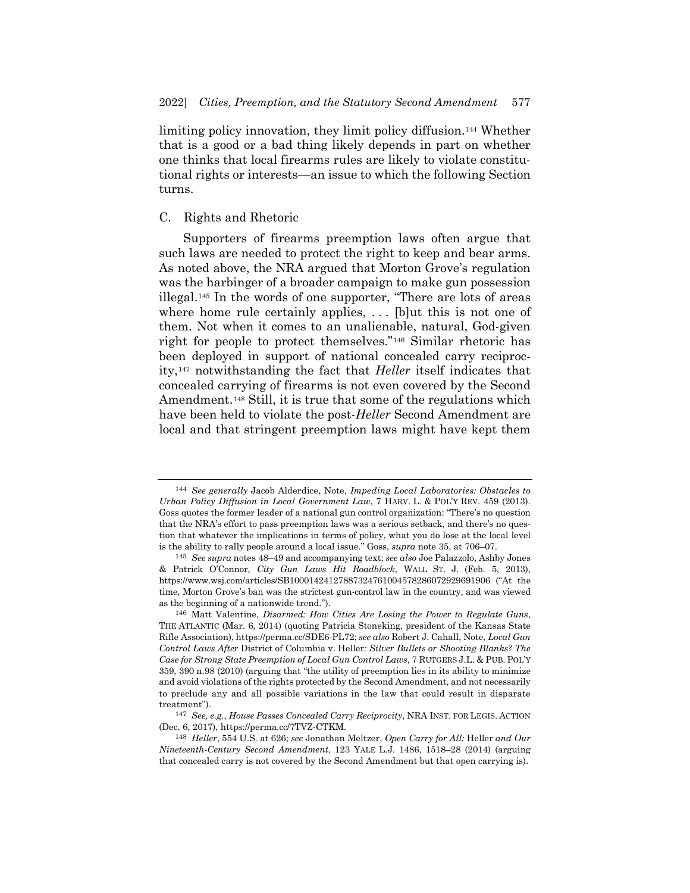limiting policy innovation, they limit policy diffusion.[144](#page-20-0) Whether that is a good or a bad thing likely depends in part on whether one thinks that local firearms rules are likely to violate constitutional rights or interests—an issue to which the following Section turns.

### C. Rights and Rhetoric

Supporters of firearms preemption laws often argue that such laws are needed to protect the right to keep and bear arms. As noted above, the NRA argued that Morton Grove's regulation was the harbinger of a broader campaign to make gun possession illegal.[145](#page-20-1) In the words of one supporter, "There are lots of areas where home rule certainly applies, ... [b]ut this is not one of them. Not when it comes to an unalienable, natural, God-given right for people to protect themselves."[146](#page-20-2) Similar rhetoric has been deployed in support of national concealed carry reciprocity,[147](#page-20-3) notwithstanding the fact that *Heller* itself indicates that concealed carrying of firearms is not even covered by the Second Amendment.[148](#page-20-4) Still, it is true that some of the regulations which have been held to violate the post-*Heller* Second Amendment are local and that stringent preemption laws might have kept them

<span id="page-20-0"></span><sup>144</sup> *See generally* Jacob Alderdice, Note, *Impeding Local Laboratories: Obstacles to Urban Policy Diffusion in Local Government Law*, 7 HARV. L. & POL'Y REV. 459 (2013). Goss quotes the former leader of a national gun control organization: "There's no question that the NRA's effort to pass preemption laws was a serious setback, and there's no question that whatever the implications in terms of policy, what you do lose at the local level is the ability to rally people around a local issue." Goss, *supra* note [35,](#page-5-12) at 706–07.

<span id="page-20-1"></span><sup>145</sup> *See supra* notes [48](#page-7-10)[–49](#page-7-11) and accompanying text; *see also* Joe Palazzolo, Ashby Jones & Patrick O'Connor, *City Gun Laws Hit Roadblock*, WALL ST. J. (Feb. 5, 2013), https://www.wsj.com/articles/SB10001424127887324761004578286072929691906 ("At the time, Morton Grove's ban was the strictest gun-control law in the country, and was viewed as the beginning of a nationwide trend.").

<span id="page-20-2"></span><sup>146</sup> Matt Valentine, *Disarmed: How Cities Are Losing the Power to Regulate Guns*, THE ATLANTIC (Mar. 6, 2014) (quoting Patricia Stoneking, president of the Kansas State Rifle Association), https://perma.cc/SDE6-PL72; *see also* Robert J. Cahall, Note, *Local Gun Control Laws After* District of Columbia v. Heller*: Silver Bullets or Shooting Blanks? The Case for Strong State Preemption of Local Gun Control Laws*, 7 RUTGERS J.L. & PUB. POL'Y 359, 390 n.98 (2010) (arguing that "the utility of preemption lies in its ability to minimize and avoid violations of the rights protected by the Second Amendment, and not necessarily to preclude any and all possible variations in the law that could result in disparate treatment").

<span id="page-20-3"></span><sup>147</sup> *See, e.g.*, *House Passes Concealed Carry Reciprocity*, NRA INST. FOR LEGIS. ACTION (Dec. 6, 2017), https://perma.cc/7TVZ-CTKM.

<span id="page-20-4"></span><sup>148</sup> *Heller*, 554 U.S. at 626; *see* Jonathan Meltzer, *Open Carry for All:* Heller *and Our Nineteenth-Century Second Amendment*, 123 YALE L.J. 1486, 1518–28 (2014) (arguing that concealed carry is not covered by the Second Amendment but that open carrying is).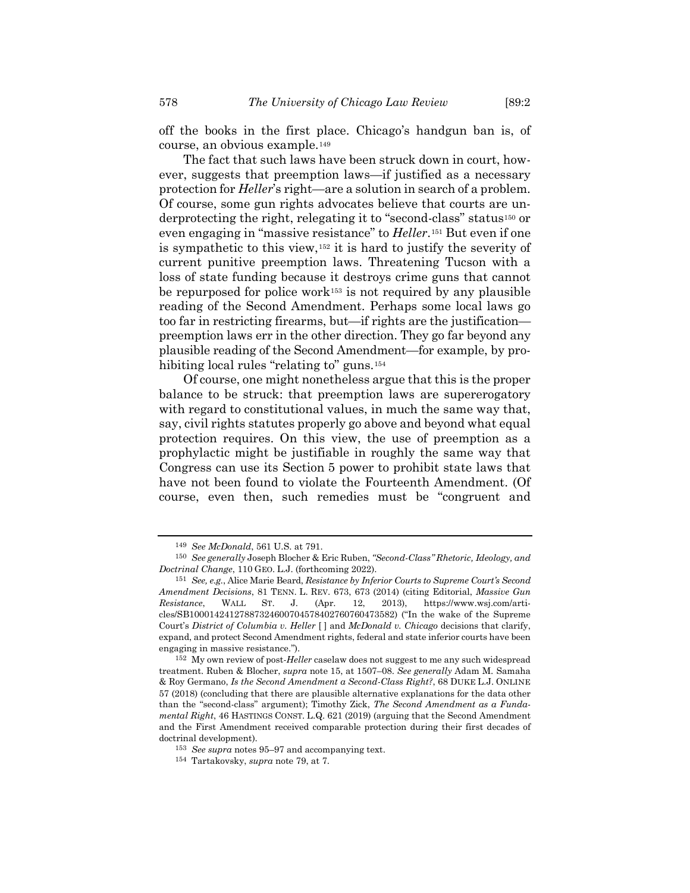off the books in the first place. Chicago's handgun ban is, of course, an obvious example.[149](#page-21-0)

The fact that such laws have been struck down in court, however, suggests that preemption laws—if justified as a necessary protection for *Heller*'s right—are a solution in search of a problem. Of course, some gun rights advocates believe that courts are underprotecting the right, relegating it to "second-class" status[150](#page-21-1) or even engaging in "massive resistance" to *Heller*.[151](#page-21-2) But even if one is sympathetic to this view,[152](#page-21-3) it is hard to justify the severity of current punitive preemption laws. Threatening Tucson with a loss of state funding because it destroys crime guns that cannot be repurposed for police work<sup>[153](#page-21-4)</sup> is not required by any plausible reading of the Second Amendment. Perhaps some local laws go too far in restricting firearms, but—if rights are the justification preemption laws err in the other direction. They go far beyond any plausible reading of the Second Amendment—for example, by pro-hibiting local rules "relating to" guns.<sup>[154](#page-21-5)</sup>

Of course, one might nonetheless argue that this is the proper balance to be struck: that preemption laws are supererogatory with regard to constitutional values, in much the same way that, say, civil rights statutes properly go above and beyond what equal protection requires. On this view, the use of preemption as a prophylactic might be justifiable in roughly the same way that Congress can use its Section 5 power to prohibit state laws that have not been found to violate the Fourteenth Amendment. (Of course, even then, such remedies must be "congruent and

<sup>149</sup> *See McDonald*, 561 U.S. at 791.

<span id="page-21-1"></span><span id="page-21-0"></span><sup>150</sup> *See generally* Joseph Blocher & Eric Ruben, *"Second-Class" Rhetoric, Ideology, and Doctrinal Change*, 110 GEO. L.J. (forthcoming 2022).

<span id="page-21-2"></span><sup>151</sup> *See, e.g.*, Alice Marie Beard, *Resistance by Inferior Courts to Supreme Court's Second Amendment Decisions*, 81 TENN. L. REV. 673, 673 (2014) (citing Editorial, *Massive Gun Resistance*, WALL ST. J. (Apr. 12, 2013), https://www.wsj.com/articles/SB10001424127887324600704578402760760473582) ("In the wake of the Supreme Court's *District of Columbia v. Heller* [ ] and *McDonald v. Chicago* decisions that clarify, expand, and protect Second Amendment rights, federal and state inferior courts have been engaging in massive resistance.").

<span id="page-21-3"></span><sup>152</sup> My own review of post-*Heller* caselaw does not suggest to me any such widespread treatment. Ruben & Blocher, *supra* note [15,](#page-2-6) at 1507–08. *See generally* Adam M. Samaha & Roy Germano, *Is the Second Amendment a Second-Class Right?*, 68 DUKE L.J. ONLINE 57 (2018) (concluding that there are plausible alternative explanations for the data other than the "second-class" argument); Timothy Zick, *The Second Amendment as a Fundamental Right*, 46 HASTINGS CONST. L.Q. 621 (2019) (arguing that the Second Amendment and the First Amendment received comparable protection during their first decades of doctrinal development).

<span id="page-21-4"></span><sup>153</sup> *See supra* notes [95](#page-12-7)[–97](#page-12-8) and accompanying text.

<span id="page-21-5"></span><sup>154</sup> Tartakovsky, *supra* note [79,](#page-10-1) at 7.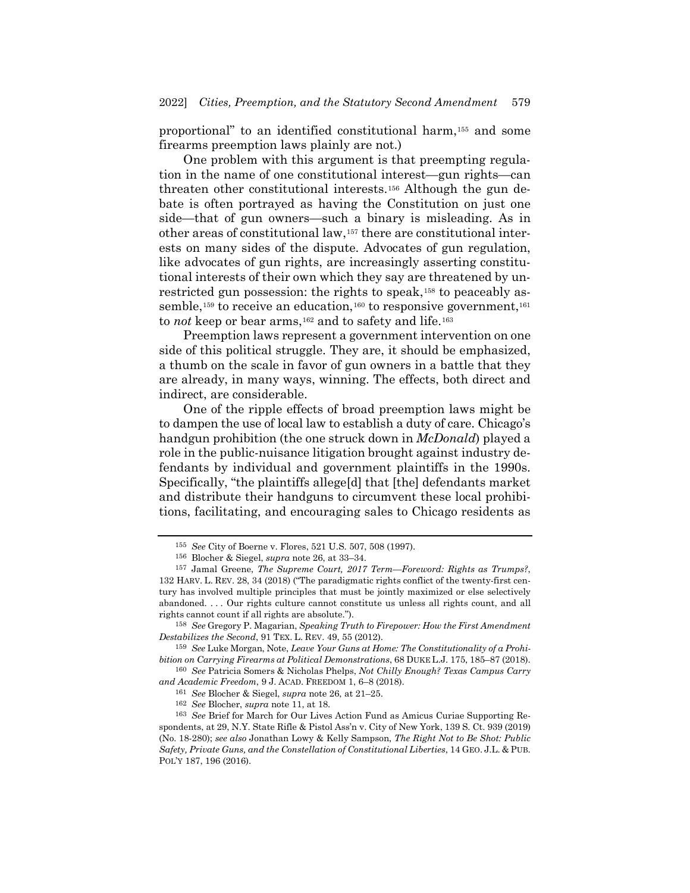proportional" to an identified constitutional harm,[155](#page-22-0) and some firearms preemption laws plainly are not.)

One problem with this argument is that preempting regulation in the name of one constitutional interest—gun rights—can threaten other constitutional interests.[156](#page-22-1) Although the gun debate is often portrayed as having the Constitution on just one side—that of gun owners—such a binary is misleading. As in other areas of constitutional law,[157](#page-22-2) there are constitutional interests on many sides of the dispute. Advocates of gun regulation, like advocates of gun rights, are increasingly asserting constitutional interests of their own which they say are threatened by un-restricted gun possession: the rights to speak,<sup>[158](#page-22-3)</sup> to peaceably as-semble,<sup>[159](#page-22-4)</sup> to receive an education,<sup>[160](#page-22-5)</sup> to responsive government,<sup>[161](#page-22-6)</sup> to *not* keep or bear arms,<sup>[162](#page-22-7)</sup> and to safety and life.<sup>[163](#page-22-8)</sup>

Preemption laws represent a government intervention on one side of this political struggle. They are, it should be emphasized, a thumb on the scale in favor of gun owners in a battle that they are already, in many ways, winning. The effects, both direct and indirect, are considerable.

One of the ripple effects of broad preemption laws might be to dampen the use of local law to establish a duty of care. Chicago's handgun prohibition (the one struck down in *McDonald*) played a role in the public-nuisance litigation brought against industry defendants by individual and government plaintiffs in the 1990s. Specifically, "the plaintiffs allege[d] that [the] defendants market and distribute their handguns to circumvent these local prohibitions, facilitating, and encouraging sales to Chicago residents as

<span id="page-22-4"></span>159 *See* Luke Morgan, Note, *Leave Your Guns at Home: The Constitutionality of a Prohibition on Carrying Firearms at Political Demonstrations*, 68 DUKE L.J. 175, 185–87 (2018).

<span id="page-22-6"></span><span id="page-22-5"></span>160 *See* Patricia Somers & Nicholas Phelps, *Not Chilly Enough? Texas Campus Carry and Academic Freedom*, 9 J. ACAD. FREEDOM 1, 6–8 (2018).

<sup>155</sup> *See* City of Boerne v. Flores, 521 U.S. 507, 508 (1997).

<sup>156</sup> Blocher & Siegel, *supra* note [26,](#page-4-8) at 33–34.

<span id="page-22-2"></span><span id="page-22-1"></span><span id="page-22-0"></span><sup>157</sup> Jamal Greene, *The Supreme Court, 2017 Term—Foreword: Rights as Trumps?*, 132 HARV. L. REV. 28, 34 (2018) ("The paradigmatic rights conflict of the twenty-first century has involved multiple principles that must be jointly maximized or else selectively abandoned. . . . Our rights culture cannot constitute us unless all rights count, and all rights cannot count if all rights are absolute.").

<span id="page-22-3"></span><sup>158</sup> *See* Gregory P. Magarian, *Speaking Truth to Firepower: How the First Amendment Destabilizes the Second*, 91 TEX. L. REV. 49, 55 (2012).

<sup>161</sup> *See* Blocher & Siegel, *supra* note [26,](#page-4-8) at 21–25.

<sup>162</sup> *See* Blocher, *supra* note [11,](#page-1-8) at 18.

<span id="page-22-8"></span><span id="page-22-7"></span><sup>163</sup> *See* Brief for March for Our Lives Action Fund as Amicus Curiae Supporting Respondents, at 29, N.Y. State Rifle & Pistol Ass'n v. City of New York, 139 S. Ct. 939 (2019) (No. 18-280); *see also* Jonathan Lowy & Kelly Sampson, *The Right Not to Be Shot: Public Safety, Private Guns, and the Constellation of Constitutional Liberties*, 14 GEO. J.L. & PUB. POL'Y 187, 196 (2016).